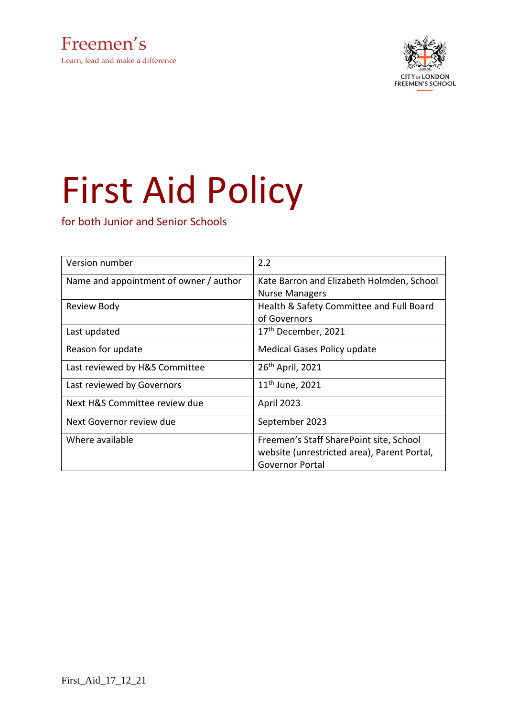



# First Aid Policy

for both Junior and Senior Schools

| Version number                         | 2.2                                         |
|----------------------------------------|---------------------------------------------|
| Name and appointment of owner / author | Kate Barron and Elizabeth Holmden, School   |
|                                        | <b>Nurse Managers</b>                       |
| Review Body                            | Health & Safety Committee and Full Board    |
|                                        | of Governors                                |
| Last updated                           | 17 <sup>th</sup> December, 2021             |
| Reason for update                      | Medical Gases Policy update                 |
| Last reviewed by H&S Committee         | 26 <sup>th</sup> April, 2021                |
| Last reviewed by Governors             | $11th$ June, 2021                           |
| Next H&S Committee review due          | April 2023                                  |
| Next Governor review due               | September 2023                              |
| Where available                        | Freemen's Staff SharePoint site, School     |
|                                        | website (unrestricted area), Parent Portal, |
|                                        | Governor Portal                             |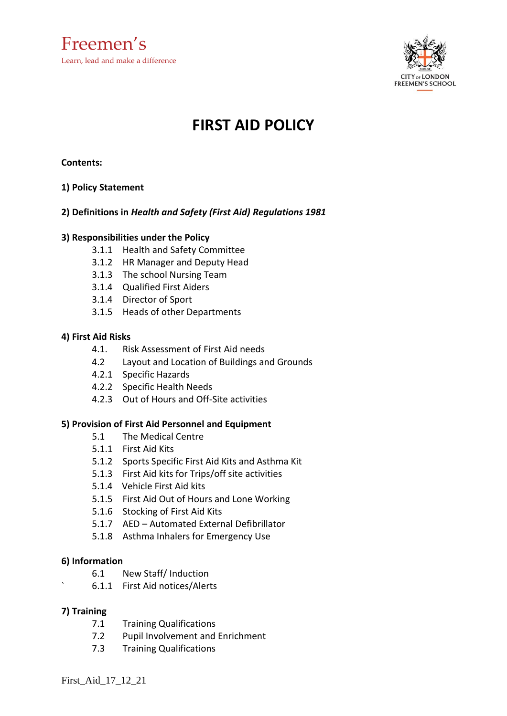Freemen's Learn, lead and make a difference



## **FIRST AID POLICY**

#### **Contents:**

**1) Policy Statement**

#### **2) Definitions in** *Health and Safety (First Aid) Regulations 1981*

#### **3) Responsibilities under the Policy**

- 3.1.1 Health and Safety Committee
- 3.1.2 HR Manager and Deputy Head
- 3.1.3 The school Nursing Team
- 3.1.4 Qualified First Aiders
- 3.1.4 Director of Sport
- 3.1.5 Heads of other Departments

#### **4) First Aid Risks**

- 4.1. Risk Assessment of First Aid needs
- 4.2 Layout and Location of Buildings and Grounds
- 4.2.1 Specific Hazards
- 4.2.2 Specific Health Needs
- 4.2.3 Out of Hours and Off-Site activities

#### **5) Provision of First Aid Personnel and Equipment**

- 5.1 The Medical Centre
- 5.1.1 First Aid Kits
- 5.1.2 Sports Specific First Aid Kits and Asthma Kit
- 5.1.3 First Aid kits for Trips/off site activities
- 5.1.4 Vehicle First Aid kits
- 5.1.5 First Aid Out of Hours and Lone Working
- 5.1.6 Stocking of First Aid Kits
- 5.1.7 AED Automated External Defibrillator
- 5.1.8 Asthma Inhalers for Emergency Use

#### **6) Information**

- 6.1 New Staff/ Induction
- ` 6.1.1 First Aid notices/Alerts

#### **7) Training**

- 7.1 Training Qualifications
- 7.2 Pupil Involvement and Enrichment
- 7.3 Training Qualifications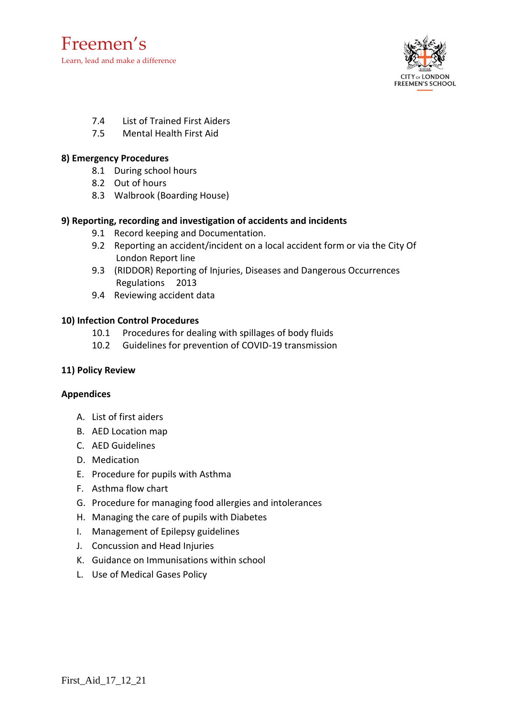Freemen's Learn, lead and make a difference



- 7.4 List of Trained First Aiders
- 7.5 Mental Health First Aid

#### **8) Emergency Procedures**

- 8.1 During school hours
- 8.2 Out of hours
- 8.3 Walbrook (Boarding House)

#### **9) Reporting, recording and investigation of accidents and incidents**

- 9.1 Record keeping and Documentation.
- 9.2 Reporting an accident/incident on a local accident form or via the City Of London Report line
- 9.3 (RIDDOR) Reporting of Injuries, Diseases and Dangerous Occurrences Regulations 2013
- 9.4 Reviewing accident data

#### **10) Infection Control Procedures**

- 10.1 Procedures for dealing with spillages of body fluids
- 10.2 Guidelines for prevention of COVID-19 transmission

#### **11) Policy Review**

#### **Appendices**

- A. List of first aiders
- B. AED Location map
- C. AED Guidelines
- D. Medication
- E. Procedure for pupils with Asthma
- F. Asthma flow chart
- G. Procedure for managing food allergies and intolerances
- H. Managing the care of pupils with Diabetes
- I. Management of Epilepsy guidelines
- J. Concussion and Head Injuries
- K. Guidance on Immunisations within school
- L. Use of Medical Gases Policy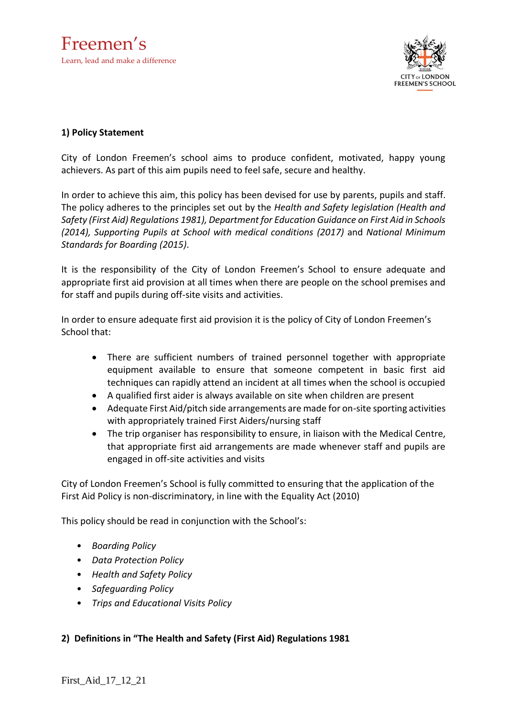

#### **1) Policy Statement**

City of London Freemen's school aims to produce confident, motivated, happy young achievers. As part of this aim pupils need to feel safe, secure and healthy.

In order to achieve this aim, this policy has been devised for use by parents, pupils and staff. The policy adheres to the principles set out by the *Health and Safety legislation (Health and Safety (First Aid) Regulations 1981), Department for Education Guidance on First Aid in Schools (2014), Supporting Pupils at School with medical conditions (2017)* and *National Minimum Standards for Boarding (2015)*.

It is the responsibility of the City of London Freemen's School to ensure adequate and appropriate first aid provision at all times when there are people on the school premises and for staff and pupils during off-site visits and activities.

In order to ensure adequate first aid provision it is the policy of City of London Freemen's School that:

- There are sufficient numbers of trained personnel together with appropriate equipment available to ensure that someone competent in basic first aid techniques can rapidly attend an incident at all times when the school is occupied
- A qualified first aider is always available on site when children are present
- Adequate First Aid/pitch side arrangements are made for on-site sporting activities with appropriately trained First Aiders/nursing staff
- The trip organiser has responsibility to ensure, in liaison with the Medical Centre, that appropriate first aid arrangements are made whenever staff and pupils are engaged in off-site activities and visits

City of London Freemen's School is fully committed to ensuring that the application of the First Aid Policy is non-discriminatory, in line with the Equality Act (2010)

This policy should be read in conjunction with the School's:

- *Boarding Policy*
- *Data Protection Policy*
- *Health and Safety Policy*
- *Safeguarding Policy*
- *Trips and Educational Visits Policy*

#### **2) Definitions in "The Health and Safety (First Aid) Regulations 1981**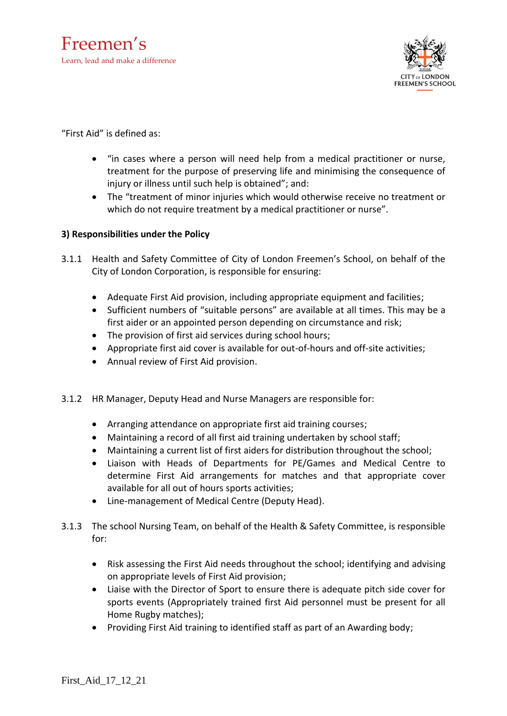

"First Aid" is defined as:

- "in cases where a person will need help from a medical practitioner or nurse, treatment for the purpose of preserving life and minimising the consequence of injury or illness until such help is obtained"; and:
- The "treatment of minor injuries which would otherwise receive no treatment or which do not require treatment by a medical practitioner or nurse".

#### **3) Responsibilities under the Policy**

- 3.1.1 Health and Safety Committee of City of London Freemen's School, on behalf of the City of London Corporation, is responsible for ensuring:
	- Adequate First Aid provision, including appropriate equipment and facilities;
	- Sufficient numbers of "suitable persons" are available at all times. This may be a first aider or an appointed person depending on circumstance and risk;
	- The provision of first aid services during school hours;
	- Appropriate first aid cover is available for out-of-hours and off-site activities;
	- Annual review of First Aid provision.
- 3.1.2 HR Manager, Deputy Head and Nurse Managers are responsible for:
	- Arranging attendance on appropriate first aid training courses;
	- Maintaining a record of all first aid training undertaken by school staff;
	- Maintaining a current list of first aiders for distribution throughout the school;
	- Liaison with Heads of Departments for PE/Games and Medical Centre to determine First Aid arrangements for matches and that appropriate cover available for all out of hours sports activities;
	- Line-management of Medical Centre (Deputy Head).
- 3.1.3 The school Nursing Team, on behalf of the Health & Safety Committee, is responsible for:
	- Risk assessing the First Aid needs throughout the school; identifying and advising on appropriate levels of First Aid provision;
	- Liaise with the Director of Sport to ensure there is adequate pitch side cover for sports events (Appropriately trained first Aid personnel must be present for all Home Rugby matches);
	- Providing First Aid training to identified staff as part of an Awarding body;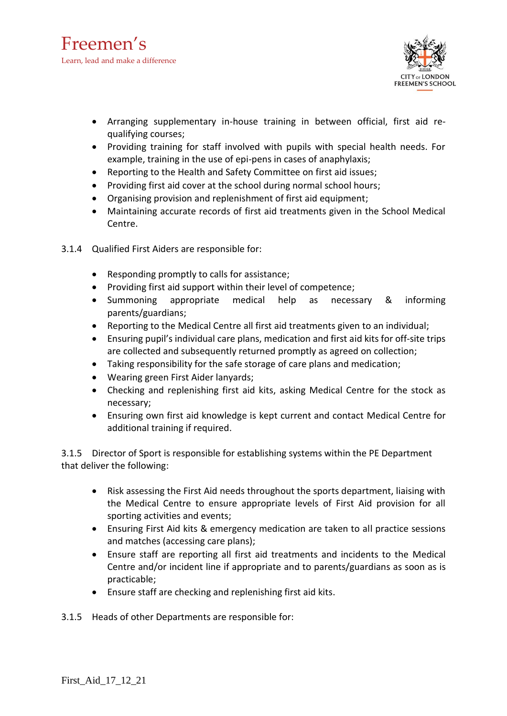

- Arranging supplementary in-house training in between official, first aid requalifying courses;
- Providing training for staff involved with pupils with special health needs. For example, training in the use of epi-pens in cases of anaphylaxis;
- Reporting to the Health and Safety Committee on first aid issues;
- Providing first aid cover at the school during normal school hours;
- Organising provision and replenishment of first aid equipment;
- Maintaining accurate records of first aid treatments given in the School Medical Centre.
- 3.1.4 Qualified First Aiders are responsible for:
	- Responding promptly to calls for assistance;
	- Providing first aid support within their level of competence;
	- Summoning appropriate medical help as necessary & informing parents/guardians;
	- Reporting to the Medical Centre all first aid treatments given to an individual;
	- Ensuring pupil's individual care plans, medication and first aid kits for off-site trips are collected and subsequently returned promptly as agreed on collection;
	- Taking responsibility for the safe storage of care plans and medication;
	- Wearing green First Aider lanyards;
	- Checking and replenishing first aid kits, asking Medical Centre for the stock as necessary;
	- Ensuring own first aid knowledge is kept current and contact Medical Centre for additional training if required.

3.1.5 Director of Sport is responsible for establishing systems within the PE Department that deliver the following:

- Risk assessing the First Aid needs throughout the sports department, liaising with the Medical Centre to ensure appropriate levels of First Aid provision for all sporting activities and events;
- Ensuring First Aid kits & emergency medication are taken to all practice sessions and matches (accessing care plans);
- Ensure staff are reporting all first aid treatments and incidents to the Medical Centre and/or incident line if appropriate and to parents/guardians as soon as is practicable;
- Ensure staff are checking and replenishing first aid kits.
- 3.1.5 Heads of other Departments are responsible for: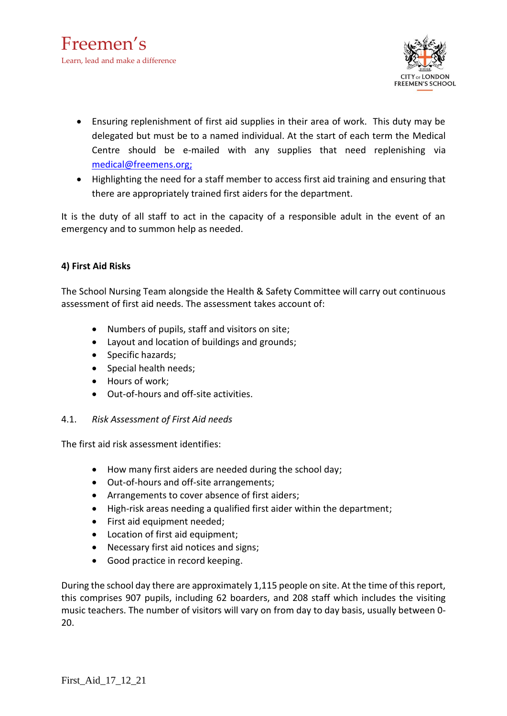

- Ensuring replenishment of first aid supplies in their area of work. This duty may be delegated but must be to a named individual. At the start of each term the Medical Centre should be e-mailed with any supplies that need replenishing via [medical@freemens.org;](mailto:medical@freemens.org)
- Highlighting the need for a staff member to access first aid training and ensuring that there are appropriately trained first aiders for the department.

It is the duty of all staff to act in the capacity of a responsible adult in the event of an emergency and to summon help as needed.

#### **4) First Aid Risks**

The School Nursing Team alongside the Health & Safety Committee will carry out continuous assessment of first aid needs. The assessment takes account of:

- Numbers of pupils, staff and visitors on site;
- Layout and location of buildings and grounds;
- Specific hazards;
- Special health needs;
- Hours of work;
- Out-of-hours and off-site activities.

#### 4.1. *Risk Assessment of First Aid needs*

The first aid risk assessment identifies:

- How many first aiders are needed during the school day;
- Out-of-hours and off-site arrangements;
- Arrangements to cover absence of first aiders;
- High-risk areas needing a qualified first aider within the department;
- First aid equipment needed;
- Location of first aid equipment;
- Necessary first aid notices and signs;
- Good practice in record keeping.

During the school day there are approximately 1,115 people on site. At the time of this report, this comprises 907 pupils, including 62 boarders, and 208 staff which includes the visiting music teachers. The number of visitors will vary on from day to day basis, usually between 0- 20.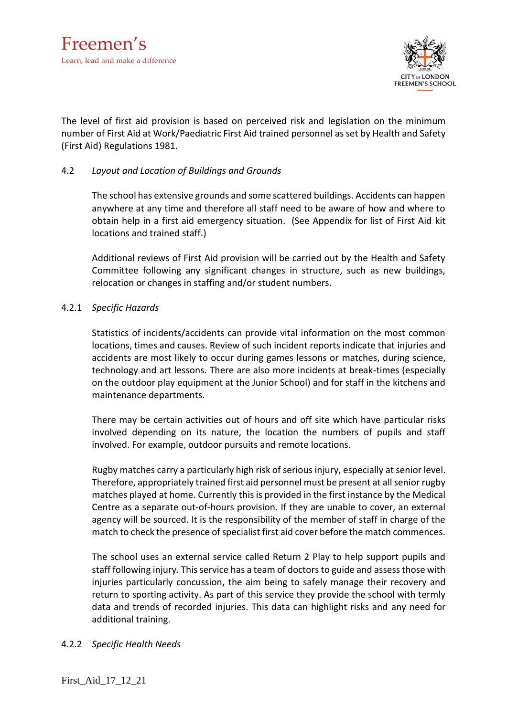

The level of first aid provision is based on perceived risk and legislation on the minimum number of First Aid at Work/Paediatric First Aid trained personnel as set by Health and Safety (First Aid) Regulations 1981.

#### 4.2 *Layout and Location of Buildings and Grounds*

The school has extensive grounds and some scattered buildings. Accidents can happen anywhere at any time and therefore all staff need to be aware of how and where to obtain help in a first aid emergency situation. (See Appendix for list of First Aid kit locations and trained staff.)

Additional reviews of First Aid provision will be carried out by the Health and Safety Committee following any significant changes in structure, such as new buildings, relocation or changes in staffing and/or student numbers.

#### 4.2.1 *Specific Hazards*

Statistics of incidents/accidents can provide vital information on the most common locations, times and causes. Review of such incident reports indicate that injuries and accidents are most likely to occur during games lessons or matches, during science, technology and art lessons. There are also more incidents at break-times (especially on the outdoor play equipment at the Junior School) and for staff in the kitchens and maintenance departments.

There may be certain activities out of hours and off site which have particular risks involved depending on its nature, the location the numbers of pupils and staff involved. For example, outdoor pursuits and remote locations.

Rugby matches carry a particularly high risk of serious injury, especially at senior level. Therefore, appropriately trained first aid personnel must be present at all senior rugby matches played at home. Currently this is provided in the first instance by the Medical Centre as a separate out-of-hours provision. If they are unable to cover, an external agency will be sourced. It is the responsibility of the member of staff in charge of the match to check the presence of specialist first aid cover before the match commences.

The school uses an external service called Return 2 Play to help support pupils and staff following injury. This service has a team of doctors to guide and assess those with injuries particularly concussion, the aim being to safely manage their recovery and return to sporting activity. As part of this service they provide the school with termly data and trends of recorded injuries. This data can highlight risks and any need for additional training.

#### 4.2.2 *Specific Health Needs*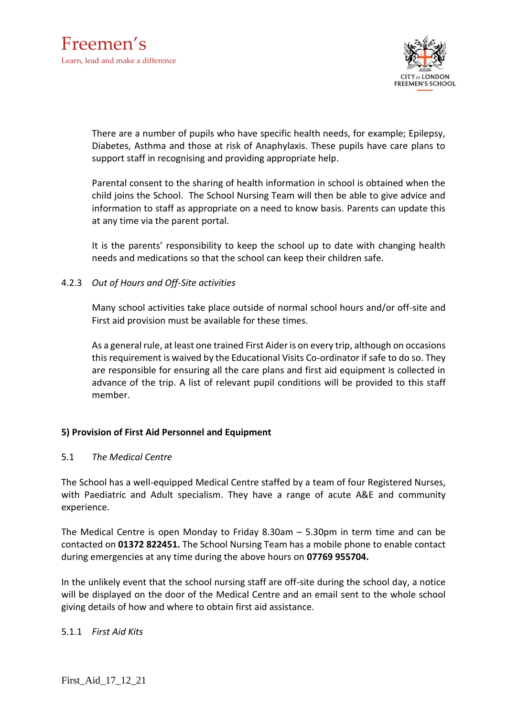

There are a number of pupils who have specific health needs, for example; Epilepsy, Diabetes, Asthma and those at risk of Anaphylaxis. These pupils have care plans to support staff in recognising and providing appropriate help.

Parental consent to the sharing of health information in school is obtained when the child joins the School. The School Nursing Team will then be able to give advice and information to staff as appropriate on a need to know basis. Parents can update this at any time via the parent portal.

It is the parents' responsibility to keep the school up to date with changing health needs and medications so that the school can keep their children safe.

#### 4.2.3 *Out of Hours and Off-Site activities*

Many school activities take place outside of normal school hours and/or off-site and First aid provision must be available for these times.

As a general rule, at least one trained First Aider is on every trip, although on occasions this requirement is waived by the Educational Visits Co-ordinator if safe to do so. They are responsible for ensuring all the care plans and first aid equipment is collected in advance of the trip. A list of relevant pupil conditions will be provided to this staff member.

#### **5) Provision of First Aid Personnel and Equipment**

#### 5.1 *The Medical Centre*

The School has a well-equipped Medical Centre staffed by a team of four Registered Nurses, with Paediatric and Adult specialism. They have a range of acute A&E and community experience.

The Medical Centre is open Monday to Friday 8.30am – 5.30pm in term time and can be contacted on **01372 822451.** The School Nursing Team has a mobile phone to enable contact during emergencies at any time during the above hours on **07769 955704.**

In the unlikely event that the school nursing staff are off-site during the school day, a notice will be displayed on the door of the Medical Centre and an email sent to the whole school giving details of how and where to obtain first aid assistance.

#### 5.1.1 *First Aid Kits*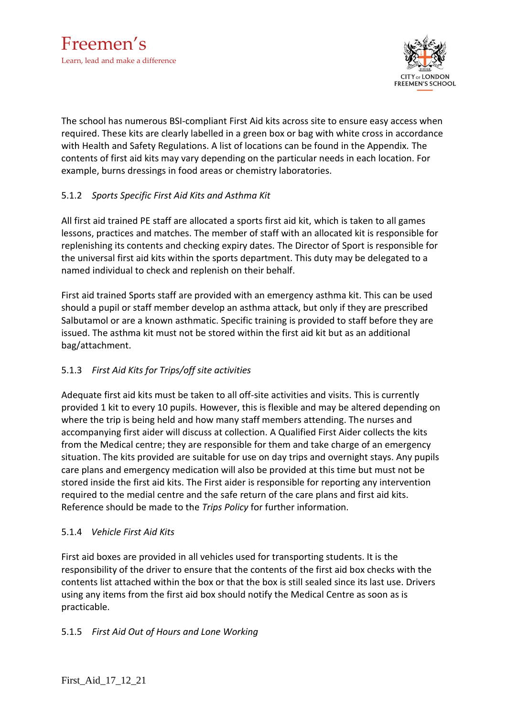

The school has numerous BSI-compliant First Aid kits across site to ensure easy access when required. These kits are clearly labelled in a green box or bag with white cross in accordance with Health and Safety Regulations. A list of locations can be found in the Appendix. The contents of first aid kits may vary depending on the particular needs in each location. For example, burns dressings in food areas or chemistry laboratories.

#### 5.1.2 *Sports Specific First Aid Kits and Asthma Kit*

All first aid trained PE staff are allocated a sports first aid kit, which is taken to all games lessons, practices and matches. The member of staff with an allocated kit is responsible for replenishing its contents and checking expiry dates. The Director of Sport is responsible for the universal first aid kits within the sports department. This duty may be delegated to a named individual to check and replenish on their behalf.

First aid trained Sports staff are provided with an emergency asthma kit. This can be used should a pupil or staff member develop an asthma attack, but only if they are prescribed Salbutamol or are a known asthmatic. Specific training is provided to staff before they are issued. The asthma kit must not be stored within the first aid kit but as an additional bag/attachment.

#### 5.1.3 *First Aid Kits for Trips/off site activities*

Adequate first aid kits must be taken to all off-site activities and visits. This is currently provided 1 kit to every 10 pupils. However, this is flexible and may be altered depending on where the trip is being held and how many staff members attending. The nurses and accompanying first aider will discuss at collection. A Qualified First Aider collects the kits from the Medical centre; they are responsible for them and take charge of an emergency situation. The kits provided are suitable for use on day trips and overnight stays. Any pupils care plans and emergency medication will also be provided at this time but must not be stored inside the first aid kits. The First aider is responsible for reporting any intervention required to the medial centre and the safe return of the care plans and first aid kits. Reference should be made to the *Trips Policy* for further information.

#### 5.1.4 *Vehicle First Aid Kits*

First aid boxes are provided in all vehicles used for transporting students. It is the responsibility of the driver to ensure that the contents of the first aid box checks with the contents list attached within the box or that the box is still sealed since its last use. Drivers using any items from the first aid box should notify the Medical Centre as soon as is practicable.

#### 5.1.5 *First Aid Out of Hours and Lone Working*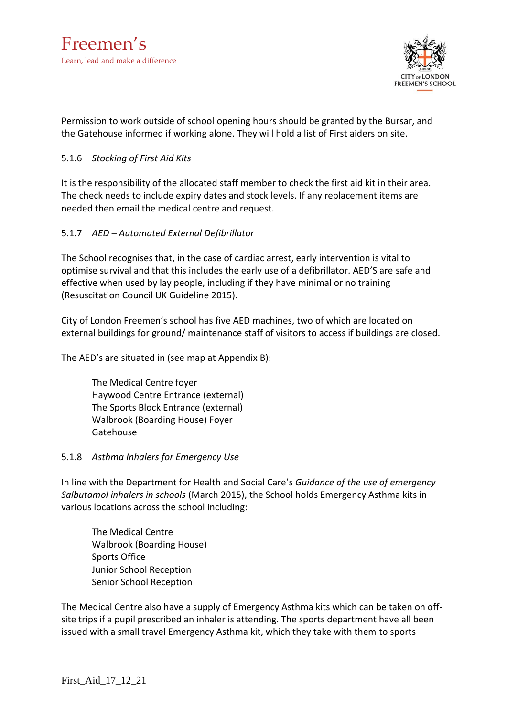

Permission to work outside of school opening hours should be granted by the Bursar, and the Gatehouse informed if working alone. They will hold a list of First aiders on site.

#### 5.1.6 *Stocking of First Aid Kits*

It is the responsibility of the allocated staff member to check the first aid kit in their area. The check needs to include expiry dates and stock levels. If any replacement items are needed then email the medical centre and request.

#### 5.1.7 *AED – Automated External Defibrillator*

The School recognises that, in the case of cardiac arrest, early intervention is vital to optimise survival and that this includes the early use of a defibrillator. AED'S are safe and effective when used by lay people, including if they have minimal or no training (Resuscitation Council UK Guideline 2015).

City of London Freemen's school has five AED machines, two of which are located on external buildings for ground/ maintenance staff of visitors to access if buildings are closed.

The AED's are situated in (see map at Appendix B):

The Medical Centre foyer Haywood Centre Entrance (external) The Sports Block Entrance (external) Walbrook (Boarding House) Foyer Gatehouse

#### 5.1.8 *Asthma Inhalers for Emergency Use*

In line with the Department for Health and Social Care's *Guidance of the use of emergency Salbutamol inhalers in schools* (March 2015), the School holds Emergency Asthma kits in various locations across the school including:

The Medical Centre Walbrook (Boarding House) Sports Office Junior School Reception Senior School Reception

The Medical Centre also have a supply of Emergency Asthma kits which can be taken on offsite trips if a pupil prescribed an inhaler is attending. The sports department have all been issued with a small travel Emergency Asthma kit, which they take with them to sports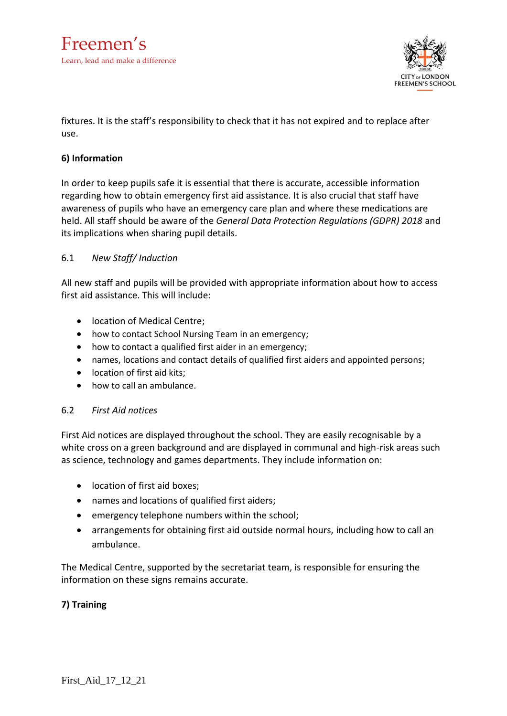



fixtures. It is the staff's responsibility to check that it has not expired and to replace after use.

#### **6) Information**

In order to keep pupils safe it is essential that there is accurate, accessible information regarding how to obtain emergency first aid assistance. It is also crucial that staff have awareness of pupils who have an emergency care plan and where these medications are held. All staff should be aware of the *General Data Protection Regulations (GDPR) 2018* and its implications when sharing pupil details.

#### 6.1 *New Staff/ Induction*

All new staff and pupils will be provided with appropriate information about how to access first aid assistance. This will include:

- location of Medical Centre;
- how to contact School Nursing Team in an emergency;
- how to contact a qualified first aider in an emergency;
- names, locations and contact details of qualified first aiders and appointed persons;
- location of first aid kits:
- how to call an ambulance.

#### 6.2 *First Aid notices*

First Aid notices are displayed throughout the school. They are easily recognisable by a white cross on a green background and are displayed in communal and high-risk areas such as science, technology and games departments. They include information on:

- location of first aid boxes;
- names and locations of qualified first aiders;
- emergency telephone numbers within the school;
- arrangements for obtaining first aid outside normal hours, including how to call an ambulance.

The Medical Centre, supported by the secretariat team, is responsible for ensuring the information on these signs remains accurate.

#### **7) Training**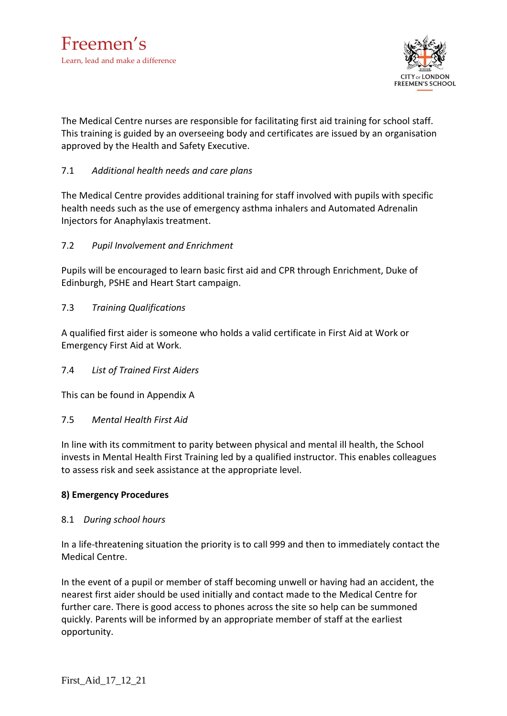

The Medical Centre nurses are responsible for facilitating first aid training for school staff. This training is guided by an overseeing body and certificates are issued by an organisation approved by the Health and Safety Executive.

#### 7.1 *Additional health needs and care plans*

The Medical Centre provides additional training for staff involved with pupils with specific health needs such as the use of emergency asthma inhalers and Automated Adrenalin Injectors for Anaphylaxis treatment.

#### 7.2 *Pupil Involvement and Enrichment*

Pupils will be encouraged to learn basic first aid and CPR through Enrichment, Duke of Edinburgh, PSHE and Heart Start campaign.

#### 7.3 *Training Qualifications*

A qualified first aider is someone who holds a valid certificate in First Aid at Work or Emergency First Aid at Work.

#### 7.4 *List of Trained First Aiders*

This can be found in Appendix A

#### 7.5 *Mental Health First Aid*

In line with its commitment to parity between physical and mental ill health, the School invests in Mental Health First Training led by a qualified instructor. This enables colleagues to assess risk and seek assistance at the appropriate level.

#### **8) Emergency Procedures**

#### 8.1 *During school hours*

In a life-threatening situation the priority is to call 999 and then to immediately contact the Medical Centre.

In the event of a pupil or member of staff becoming unwell or having had an accident, the nearest first aider should be used initially and contact made to the Medical Centre for further care. There is good access to phones across the site so help can be summoned quickly. Parents will be informed by an appropriate member of staff at the earliest opportunity.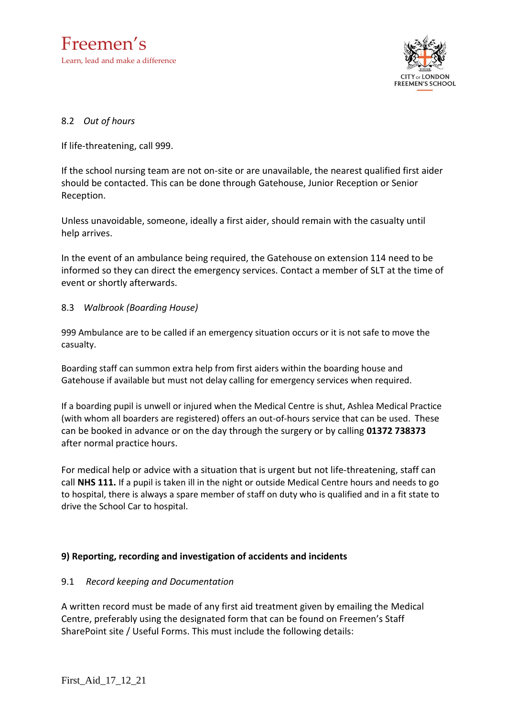

#### 8.2 *Out of hours*

If life-threatening, call 999.

If the school nursing team are not on-site or are unavailable, the nearest qualified first aider should be contacted. This can be done through Gatehouse, Junior Reception or Senior Reception.

Unless unavoidable, someone, ideally a first aider, should remain with the casualty until help arrives.

In the event of an ambulance being required, the Gatehouse on extension 114 need to be informed so they can direct the emergency services. Contact a member of SLT at the time of event or shortly afterwards.

#### 8.3 *Walbrook (Boarding House)*

999 Ambulance are to be called if an emergency situation occurs or it is not safe to move the casualty.

Boarding staff can summon extra help from first aiders within the boarding house and Gatehouse if available but must not delay calling for emergency services when required.

If a boarding pupil is unwell or injured when the Medical Centre is shut, Ashlea Medical Practice (with whom all boarders are registered) offers an out-of-hours service that can be used. These can be booked in advance or on the day through the surgery or by calling **01372 738373**  after normal practice hours.

For medical help or advice with a situation that is urgent but not life-threatening, staff can call **NHS 111.** If a pupil is taken ill in the night or outside Medical Centre hours and needs to go to hospital, there is always a spare member of staff on duty who is qualified and in a fit state to drive the School Car to hospital.

#### **9) Reporting, recording and investigation of accidents and incidents**

#### 9.1 *Record keeping and Documentation*

A written record must be made of any first aid treatment given by emailing the Medical Centre, preferably using the designated form that can be found on Freemen's Staff SharePoint site / Useful Forms. This must include the following details: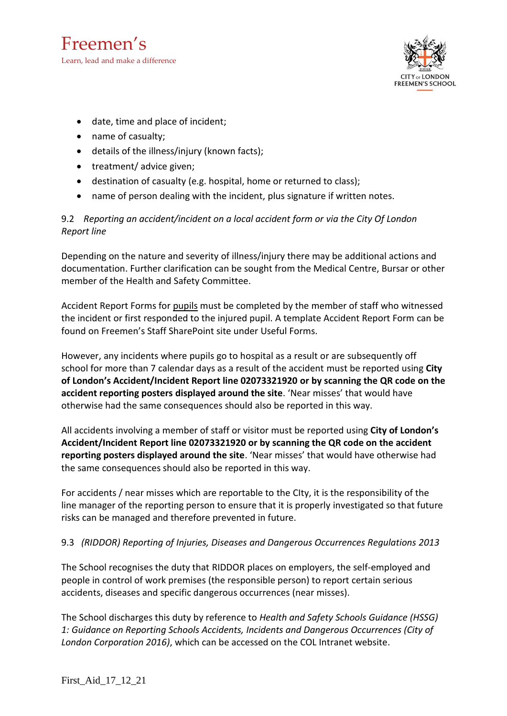

- date, time and place of incident;
- name of casualty;
- details of the illness/injury (known facts);
- treatment/ advice given;
- destination of casualty (e.g. hospital, home or returned to class);
- name of person dealing with the incident, plus signature if written notes.

#### 9.2 *Reporting an accident/incident on a local accident form or via the City Of London Report line*

Depending on the nature and severity of illness/injury there may be additional actions and documentation. Further clarification can be sought from the Medical Centre, Bursar or other member of the Health and Safety Committee.

Accident Report Forms for pupils must be completed by the member of staff who witnessed the incident or first responded to the injured pupil. A template Accident Report Form can be found on Freemen's Staff SharePoint site under Useful Forms.

However, any incidents where pupils go to hospital as a result or are subsequently off school for more than 7 calendar days as a result of the accident must be reported using **City of London's Accident/Incident Report line 02073321920 or by scanning the QR code on the accident reporting posters displayed around the site**. 'Near misses' that would have otherwise had the same consequences should also be reported in this way.

All accidents involving a member of staff or visitor must be reported using **City of London's Accident/Incident Report line 02073321920 or by scanning the QR code on the accident reporting posters displayed around the site**. 'Near misses' that would have otherwise had the same consequences should also be reported in this way.

For accidents / near misses which are reportable to the CIty, it is the responsibility of the line manager of the reporting person to ensure that it is properly investigated so that future risks can be managed and therefore prevented in future.

#### 9.3 *(RIDDOR) Reporting of Injuries, Diseases and Dangerous Occurrences Regulations 2013*

The School recognises the duty that RIDDOR places on employers, the self-employed and people in control of work premises (the responsible person) to report certain serious accidents, diseases and specific dangerous occurrences (near misses).

The School discharges this duty by reference to *Health and Safety Schools Guidance (HSSG) 1: Guidance on Reporting Schools Accidents, Incidents and Dangerous Occurrences (City of London Corporation 2016)*, which can be accessed on the COL Intranet website.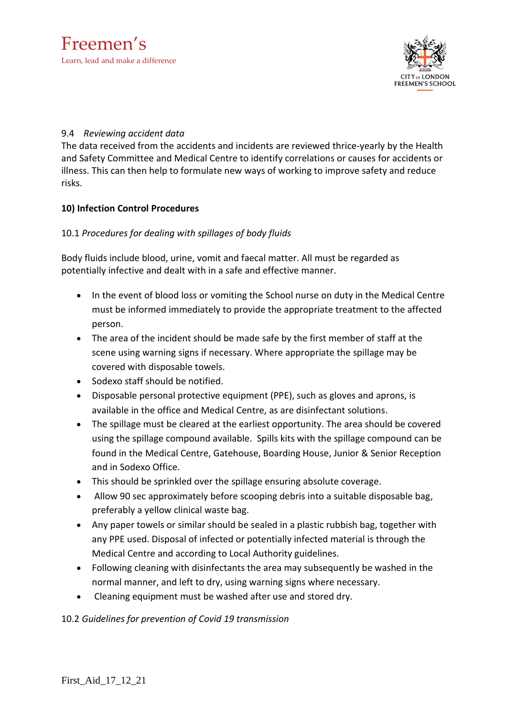

#### 9.4 *Reviewing accident data*

The data received from the accidents and incidents are reviewed thrice-yearly by the Health and Safety Committee and Medical Centre to identify correlations or causes for accidents or illness. This can then help to formulate new ways of working to improve safety and reduce risks.

#### **10) Infection Control Procedures**

#### 10.1 *Procedures for dealing with spillages of body fluids*

Body fluids include blood, urine, vomit and faecal matter. All must be regarded as potentially infective and dealt with in a safe and effective manner.

- In the event of blood loss or vomiting the School nurse on duty in the Medical Centre must be informed immediately to provide the appropriate treatment to the affected person.
- The area of the incident should be made safe by the first member of staff at the scene using warning signs if necessary. Where appropriate the spillage may be covered with disposable towels.
- Sodexo staff should be notified.
- Disposable personal protective equipment (PPE), such as gloves and aprons, is available in the office and Medical Centre, as are disinfectant solutions.
- The spillage must be cleared at the earliest opportunity. The area should be covered using the spillage compound available. Spills kits with the spillage compound can be found in the Medical Centre, Gatehouse, Boarding House, Junior & Senior Reception and in Sodexo Office.
- This should be sprinkled over the spillage ensuring absolute coverage.
- Allow 90 sec approximately before scooping debris into a suitable disposable bag, preferably a yellow clinical waste bag.
- Any paper towels or similar should be sealed in a plastic rubbish bag, together with any PPE used. Disposal of infected or potentially infected material is through the Medical Centre and according to Local Authority guidelines.
- Following cleaning with disinfectants the area may subsequently be washed in the normal manner, and left to dry, using warning signs where necessary.
- Cleaning equipment must be washed after use and stored dry.

#### 10.2 *Guidelines for prevention of Covid 19 transmission*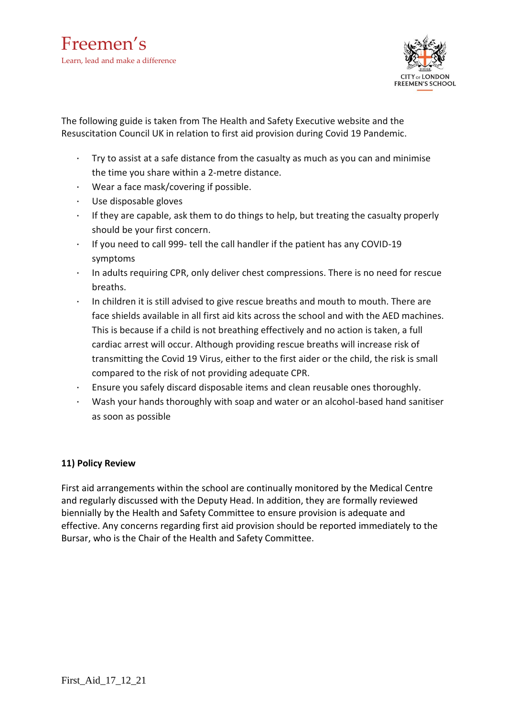

The following guide is taken from The Health and Safety Executive website and the Resuscitation Council UK in relation to first aid provision during Covid 19 Pandemic.

- · Try to assist at a safe distance from the casualty as much as you can and minimise the time you share within a 2-metre distance.
- · Wear a face mask/covering if possible.
- · Use disposable gloves
- · If they are capable, ask them to do things to help, but treating the casualty properly should be your first concern.
- · If you need to call 999- tell the call handler if the patient has any COVID-19 symptoms
- · In adults requiring CPR, only deliver chest compressions. There is no need for rescue breaths.
- · In children it is still advised to give rescue breaths and mouth to mouth. There are face shields available in all first aid kits across the school and with the AED machines. This is because if a child is not breathing effectively and no action is taken, a full cardiac arrest will occur. Although providing rescue breaths will increase risk of transmitting the Covid 19 Virus, either to the first aider or the child, the risk is small compared to the risk of not providing adequate CPR.
- · Ensure you safely discard disposable items and clean reusable ones thoroughly.
- · Wash your hands thoroughly with soap and water or an alcohol-based hand sanitiser as soon as possible

#### **11) Policy Review**

First aid arrangements within the school are continually monitored by the Medical Centre and regularly discussed with the Deputy Head. In addition, they are formally reviewed biennially by the Health and Safety Committee to ensure provision is adequate and effective. Any concerns regarding first aid provision should be reported immediately to the Bursar, who is the Chair of the Health and Safety Committee.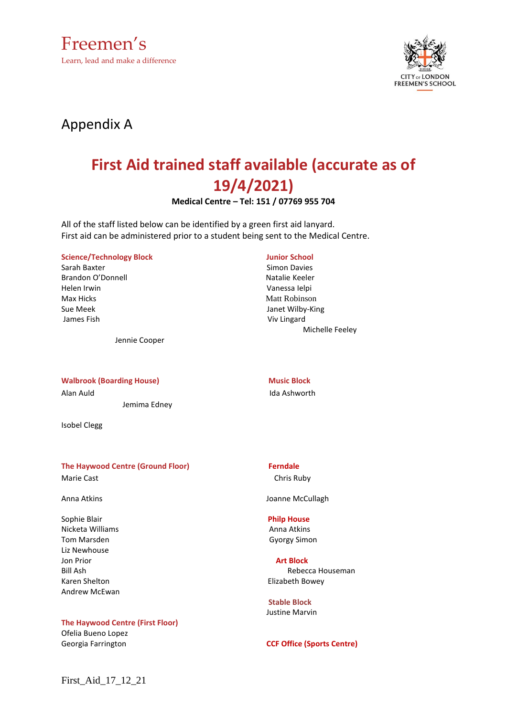



### Appendix A

## **First Aid trained staff available (accurate as of 19/4/2021)**

**Medical Centre – Tel: 151 / 07769 955 704**

All of the staff listed below can be identified by a green first aid lanyard. First aid can be administered prior to a student being sent to the Medical Centre.

#### **Science/Technology Block Manufacture Junior School Junior School**

Sarah Baxter Sarah Baxter Simon Davies Brandon O'Donnell Natalie Keeler Helen Irwin Vanessa Ielpi Max Hicks Matt Robinson Sue Meek Janet Wilby-King James Fish Viv Lingard

Jennie Cooper

#### **Walbrook (Boarding House)** Music Block

Jemima Edney

Isobel Clegg

#### **The Haywood Centre (Ground Floor) Ferndale** Marie Cast **Chris Ruby** Chris Ruby

**Sophie Blair <b>Philp House Philp House** Nicketa Williams **Anna Atkins** Anna Atkins Tom Marsden Gyorgy Simon Liz Newhouse Karen Shelton **Elizabeth Bowey** Andrew McEwan

#### **The Haywood Centre (First Floor)**

Ofelia Bueno Lopez

Michelle Feeley

Alan Auld **Ida Ashworth** 

Anna Atkins **Anna Atkins Anna Atkins Anna Atkins Joanne McCullagh** 

Jon Prior **Art Block** Bill Ash Rebecca Houseman

> **Stable Block** Justine Marvin

#### Georgia Farrington **CCF Office (Sports Centre)**

#### First\_Aid\_17\_12\_21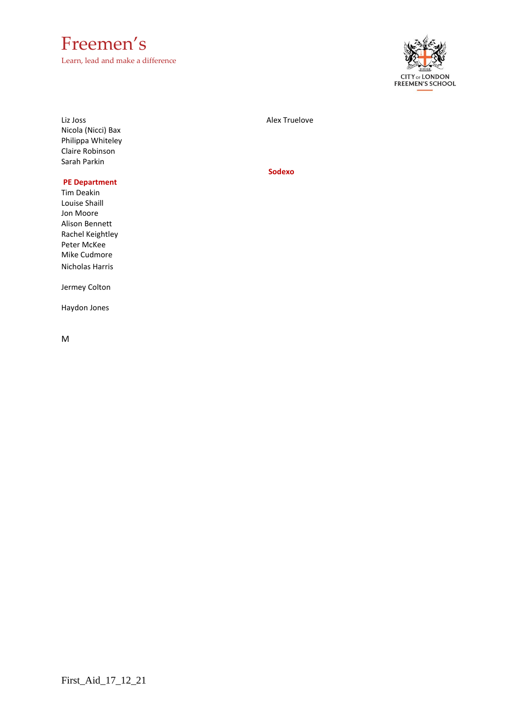Freemen's

Learn, lead and make a difference



Liz JossAlex Truelove Nicola (Nicci) Bax Philippa Whiteley Claire Robinson Sarah Parkin

#### **PE Department**

Tim Deakin Louise Shaill Jon Moore Alison Bennett Rachel Keightley Peter McKee Mike Cudmore Nicholas Harris

Jermey Colton

Haydon Jones

M

**Sodexo** (1999) and the contract of the contract of the Sodexo (1999) and the contract of the Sodexo (1999) and the contract of the contract of the contract of the contract of the contract of the contract of the contract o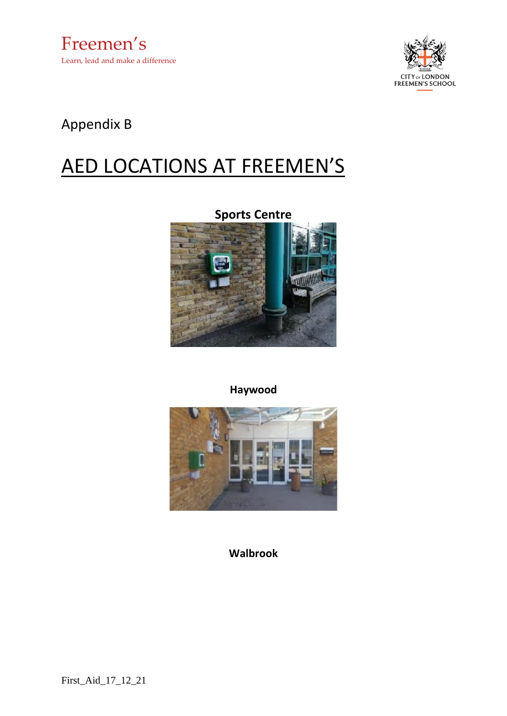



### Appendix B

## AED LOCATIONS AT FREEMEN'S





### **Haywood**



**Walbrook**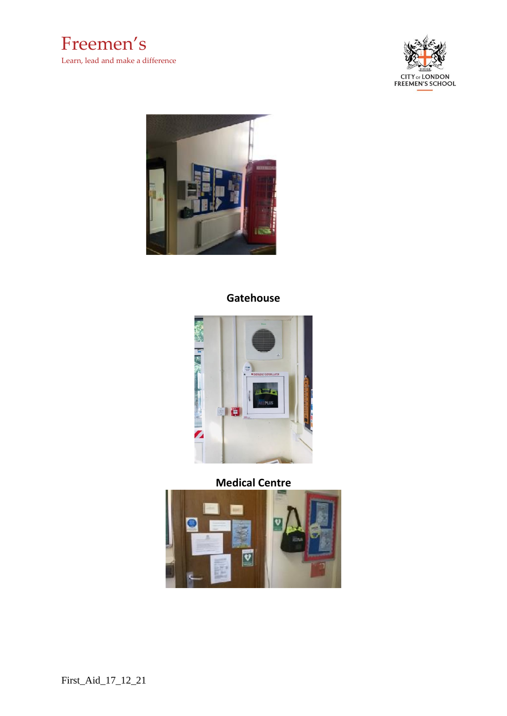





### **Gatehouse**



### **Medical Centre**

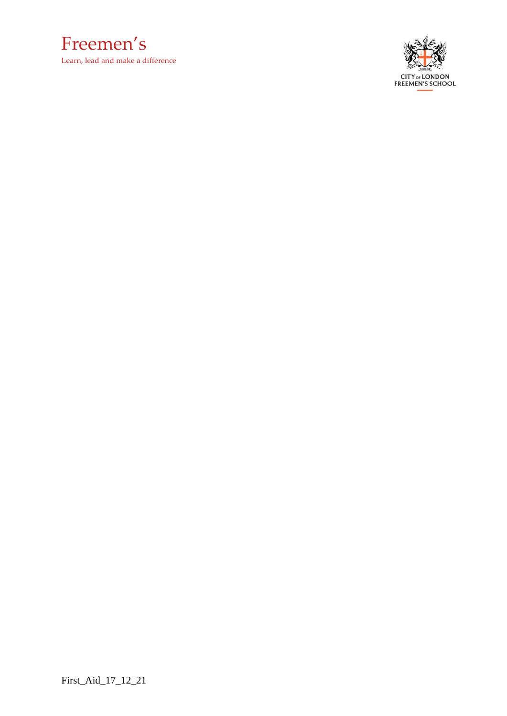

Learn, lead and make a difference

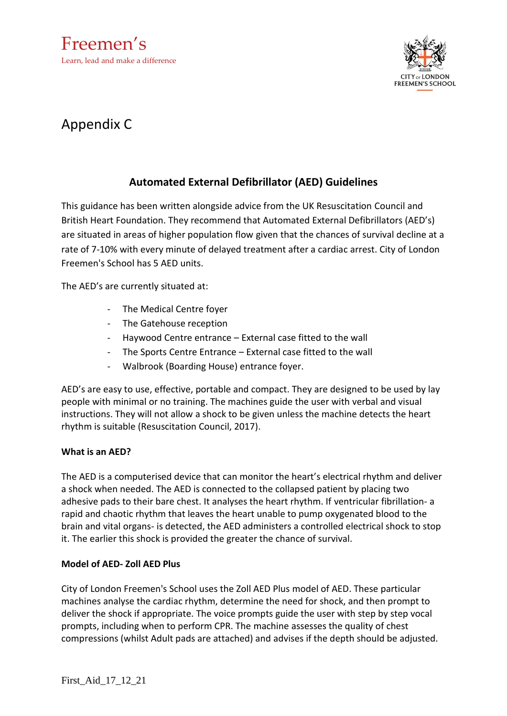



### Appendix C

### **Automated External Defibrillator (AED) Guidelines**

This guidance has been written alongside advice from the UK Resuscitation Council and British Heart Foundation. They recommend that Automated External Defibrillators (AED's) are situated in areas of higher population flow given that the chances of survival decline at a rate of 7-10% with every minute of delayed treatment after a cardiac arrest. City of London Freemen's School has 5 AED units.

The AED's are currently situated at:

- The Medical Centre foyer
- The Gatehouse reception
- Haywood Centre entrance External case fitted to the wall
- The Sports Centre Entrance External case fitted to the wall
- Walbrook (Boarding House) entrance foyer.

AED's are easy to use, effective, portable and compact. They are designed to be used by lay people with minimal or no training. The machines guide the user with verbal and visual instructions. They will not allow a shock to be given unless the machine detects the heart rhythm is suitable (Resuscitation Council, 2017).

#### **What is an AED?**

The AED is a computerised device that can monitor the heart's electrical rhythm and deliver a shock when needed. The AED is connected to the collapsed patient by placing two adhesive pads to their bare chest. It analyses the heart rhythm. If ventricular fibrillation- a rapid and chaotic rhythm that leaves the heart unable to pump oxygenated blood to the brain and vital organs- is detected, the AED administers a controlled electrical shock to stop it. The earlier this shock is provided the greater the chance of survival.

#### **Model of AED- Zoll AED Plus**

City of London Freemen's School uses the Zoll AED Plus model of AED. These particular machines analyse the cardiac rhythm, determine the need for shock, and then prompt to deliver the shock if appropriate. The voice prompts guide the user with step by step vocal prompts, including when to perform CPR. The machine assesses the quality of chest compressions (whilst Adult pads are attached) and advises if the depth should be adjusted.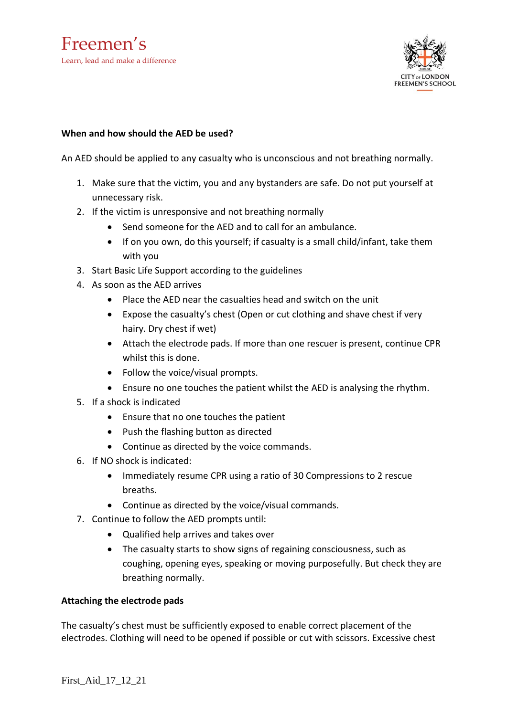Freemen's Learn, lead and make a difference



#### **When and how should the AED be used?**

An AED should be applied to any casualty who is unconscious and not breathing normally.

- 1. Make sure that the victim, you and any bystanders are safe. Do not put yourself at unnecessary risk.
- 2. If the victim is unresponsive and not breathing normally
	- Send someone for the AED and to call for an ambulance.
	- If on you own, do this yourself; if casualty is a small child/infant, take them with you
- 3. Start Basic Life Support according to the guidelines
- 4. As soon as the AED arrives
	- Place the AED near the casualties head and switch on the unit
	- Expose the casualty's chest (Open or cut clothing and shave chest if very hairy. Dry chest if wet)
	- Attach the electrode pads. If more than one rescuer is present, continue CPR whilst this is done.
	- Follow the voice/visual prompts.
	- Ensure no one touches the patient whilst the AED is analysing the rhythm.
- 5. If a shock is indicated
	- Ensure that no one touches the patient
	- Push the flashing button as directed
	- Continue as directed by the voice commands.
- 6. If NO shock is indicated:
	- Immediately resume CPR using a ratio of 30 Compressions to 2 rescue breaths.
	- Continue as directed by the voice/visual commands.
- 7. Continue to follow the AED prompts until:
	- Qualified help arrives and takes over
	- The casualty starts to show signs of regaining consciousness, such as coughing, opening eyes, speaking or moving purposefully. But check they are breathing normally.

#### **Attaching the electrode pads**

The casualty's chest must be sufficiently exposed to enable correct placement of the electrodes. Clothing will need to be opened if possible or cut with scissors. Excessive chest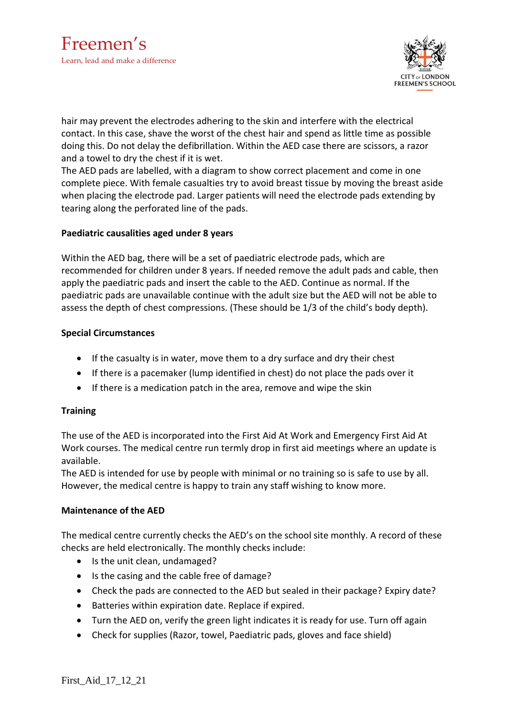

hair may prevent the electrodes adhering to the skin and interfere with the electrical contact. In this case, shave the worst of the chest hair and spend as little time as possible doing this. Do not delay the defibrillation. Within the AED case there are scissors, a razor and a towel to dry the chest if it is wet.

The AED pads are labelled, with a diagram to show correct placement and come in one complete piece. With female casualties try to avoid breast tissue by moving the breast aside when placing the electrode pad. Larger patients will need the electrode pads extending by tearing along the perforated line of the pads.

#### **Paediatric causalities aged under 8 years**

Within the AED bag, there will be a set of paediatric electrode pads, which are recommended for children under 8 years. If needed remove the adult pads and cable, then apply the paediatric pads and insert the cable to the AED. Continue as normal. If the paediatric pads are unavailable continue with the adult size but the AED will not be able to assess the depth of chest compressions. (These should be 1/3 of the child's body depth).

#### **Special Circumstances**

- If the casualty is in water, move them to a dry surface and dry their chest
- If there is a pacemaker (lump identified in chest) do not place the pads over it
- If there is a medication patch in the area, remove and wipe the skin

#### **Training**

The use of the AED is incorporated into the First Aid At Work and Emergency First Aid At Work courses. The medical centre run termly drop in first aid meetings where an update is available.

The AED is intended for use by people with minimal or no training so is safe to use by all. However, the medical centre is happy to train any staff wishing to know more.

#### **Maintenance of the AED**

The medical centre currently checks the AED's on the school site monthly. A record of these checks are held electronically. The monthly checks include:

- Is the unit clean, undamaged?
- Is the casing and the cable free of damage?
- Check the pads are connected to the AED but sealed in their package? Expiry date?
- Batteries within expiration date. Replace if expired.
- Turn the AED on, verify the green light indicates it is ready for use. Turn off again
- Check for supplies (Razor, towel, Paediatric pads, gloves and face shield)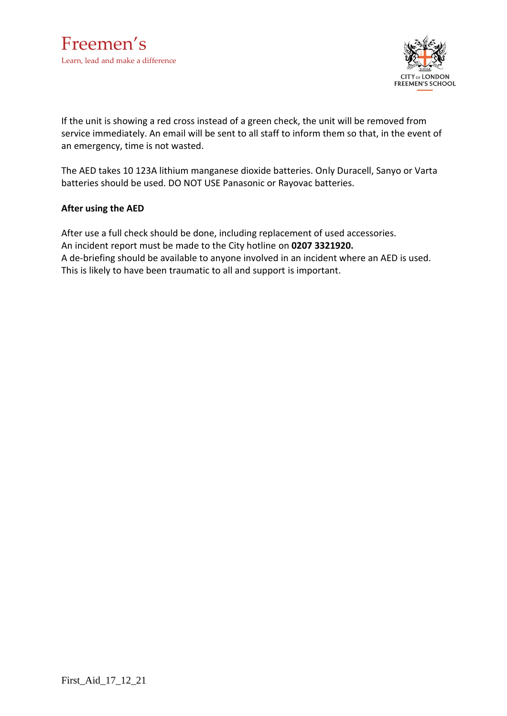



If the unit is showing a red cross instead of a green check, the unit will be removed from service immediately. An email will be sent to all staff to inform them so that, in the event of an emergency, time is not wasted.

The AED takes 10 123A lithium manganese dioxide batteries. Only Duracell, Sanyo or Varta batteries should be used. DO NOT USE Panasonic or Rayovac batteries.

#### **After using the AED**

After use a full check should be done, including replacement of used accessories. An incident report must be made to the City hotline on **0207 3321920.**  A de-briefing should be available to anyone involved in an incident where an AED is used. This is likely to have been traumatic to all and support is important.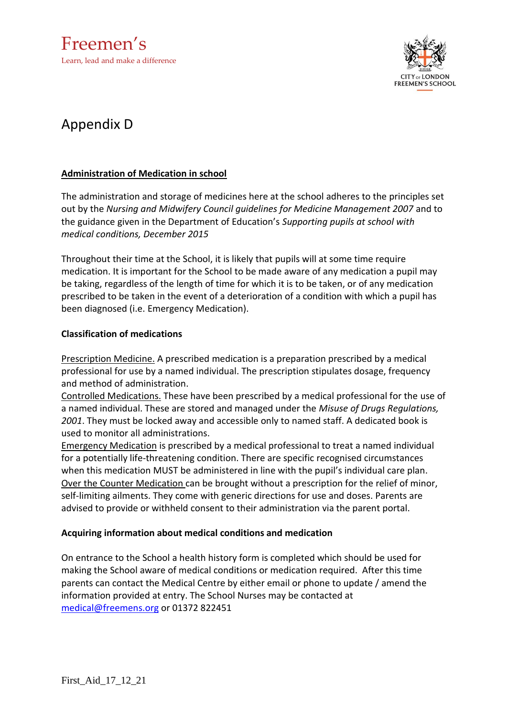



### Appendix D

#### **Administration of Medication in school**

The administration and storage of medicines here at the school adheres to the principles set out by the *Nursing and Midwifery Council guidelines for Medicine Management 2007* and to the guidance given in the Department of Education's *Supporting pupils at school with medical conditions, December 2015*

Throughout their time at the School, it is likely that pupils will at some time require medication. It is important for the School to be made aware of any medication a pupil may be taking, regardless of the length of time for which it is to be taken, or of any medication prescribed to be taken in the event of a deterioration of a condition with which a pupil has been diagnosed (i.e. Emergency Medication).

#### **Classification of medications**

Prescription Medicine. A prescribed medication is a preparation prescribed by a medical professional for use by a named individual. The prescription stipulates dosage, frequency and method of administration.

Controlled Medications. These have been prescribed by a medical professional for the use of a named individual. These are stored and managed under the *Misuse of Drugs Regulations, 2001*. They must be locked away and accessible only to named staff. A dedicated book is used to monitor all administrations.

Emergency Medication is prescribed by a medical professional to treat a named individual for a potentially life-threatening condition. There are specific recognised circumstances when this medication MUST be administered in line with the pupil's individual care plan. Over the Counter Medication can be brought without a prescription for the relief of minor, self-limiting ailments. They come with generic directions for use and doses. Parents are advised to provide or withheld consent to their administration via the parent portal.

#### **Acquiring information about medical conditions and medication**

On entrance to the School a health history form is completed which should be used for making the School aware of medical conditions or medication required. After this time parents can contact the Medical Centre by either email or phone to update / amend the information provided at entry. The School Nurses may be contacted at [medical@freemens.org](mailto:medical@freemens.org) or 01372 822451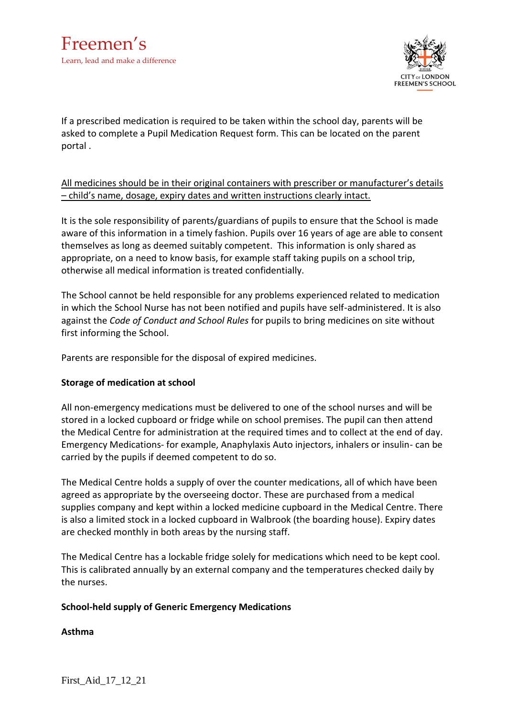

If a prescribed medication is required to be taken within the school day, parents will be asked to complete a Pupil Medication Request form. This can be located on the parent portal .

#### All medicines should be in their original containers with prescriber or manufacturer's details – child's name, dosage, expiry dates and written instructions clearly intact.

It is the sole responsibility of parents/guardians of pupils to ensure that the School is made aware of this information in a timely fashion. Pupils over 16 years of age are able to consent themselves as long as deemed suitably competent. This information is only shared as appropriate, on a need to know basis, for example staff taking pupils on a school trip, otherwise all medical information is treated confidentially.

The School cannot be held responsible for any problems experienced related to medication in which the School Nurse has not been notified and pupils have self-administered. It is also against the *Code of Conduct and School Rules* for pupils to bring medicines on site without first informing the School.

Parents are responsible for the disposal of expired medicines.

#### **Storage of medication at school**

All non-emergency medications must be delivered to one of the school nurses and will be stored in a locked cupboard or fridge while on school premises. The pupil can then attend the Medical Centre for administration at the required times and to collect at the end of day. Emergency Medications- for example, Anaphylaxis Auto injectors, inhalers or insulin- can be carried by the pupils if deemed competent to do so.

The Medical Centre holds a supply of over the counter medications, all of which have been agreed as appropriate by the overseeing doctor. These are purchased from a medical supplies company and kept within a locked medicine cupboard in the Medical Centre. There is also a limited stock in a locked cupboard in Walbrook (the boarding house). Expiry dates are checked monthly in both areas by the nursing staff.

The Medical Centre has a lockable fridge solely for medications which need to be kept cool. This is calibrated annually by an external company and the temperatures checked daily by the nurses.

#### **School-held supply of Generic Emergency Medications**

#### **Asthma**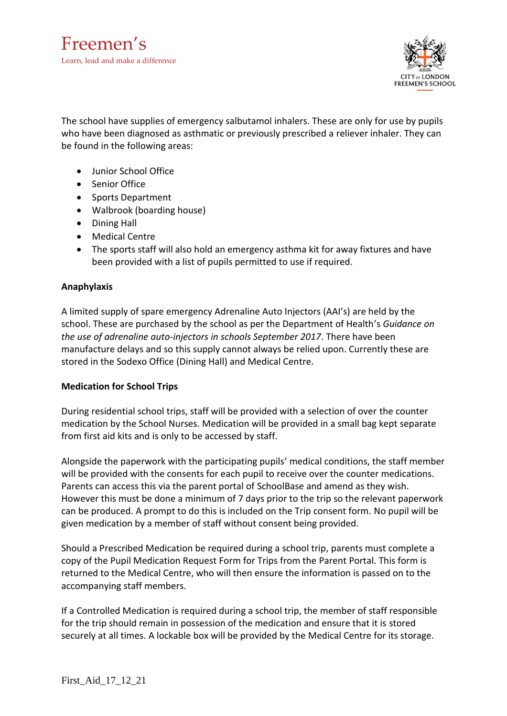

The school have supplies of emergency salbutamol inhalers. These are only for use by pupils who have been diagnosed as asthmatic or previously prescribed a reliever inhaler. They can be found in the following areas:

- Junior School Office
- Senior Office
- Sports Department
- Walbrook (boarding house)
- Dining Hall
- Medical Centre
- The sports staff will also hold an emergency asthma kit for away fixtures and have been provided with a list of pupils permitted to use if required.

#### **Anaphylaxis**

A limited supply of spare emergency Adrenaline Auto Injectors (AAI's) are held by the school. These are purchased by the school as per the Department of Health's *Guidance on the use of adrenaline auto-injectors in schools September 2017*. There have been manufacture delays and so this supply cannot always be relied upon. Currently these are stored in the Sodexo Office (Dining Hall) and Medical Centre.

#### **Medication for School Trips**

During residential school trips, staff will be provided with a selection of over the counter medication by the School Nurses. Medication will be provided in a small bag kept separate from first aid kits and is only to be accessed by staff.

Alongside the paperwork with the participating pupils' medical conditions, the staff member will be provided with the consents for each pupil to receive over the counter medications. Parents can access this via the parent portal of SchoolBase and amend as they wish. However this must be done a minimum of 7 days prior to the trip so the relevant paperwork can be produced. A prompt to do this is included on the Trip consent form. No pupil will be given medication by a member of staff without consent being provided.

Should a Prescribed Medication be required during a school trip, parents must complete a copy of the Pupil Medication Request Form for Trips from the Parent Portal. This form is returned to the Medical Centre, who will then ensure the information is passed on to the accompanying staff members.

If a Controlled Medication is required during a school trip, the member of staff responsible for the trip should remain in possession of the medication and ensure that it is stored securely at all times. A lockable box will be provided by the Medical Centre for its storage.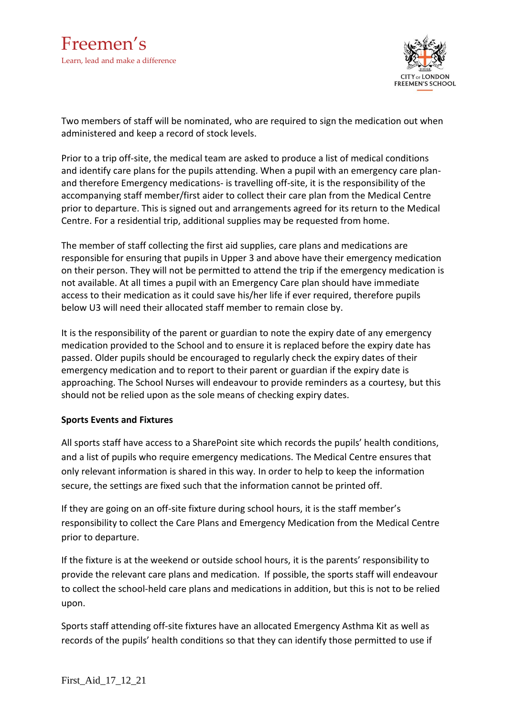

Two members of staff will be nominated, who are required to sign the medication out when administered and keep a record of stock levels.

Prior to a trip off-site, the medical team are asked to produce a list of medical conditions and identify care plans for the pupils attending. When a pupil with an emergency care planand therefore Emergency medications- is travelling off-site, it is the responsibility of the accompanying staff member/first aider to collect their care plan from the Medical Centre prior to departure. This is signed out and arrangements agreed for its return to the Medical Centre. For a residential trip, additional supplies may be requested from home.

The member of staff collecting the first aid supplies, care plans and medications are responsible for ensuring that pupils in Upper 3 and above have their emergency medication on their person. They will not be permitted to attend the trip if the emergency medication is not available. At all times a pupil with an Emergency Care plan should have immediate access to their medication as it could save his/her life if ever required, therefore pupils below U3 will need their allocated staff member to remain close by.

It is the responsibility of the parent or guardian to note the expiry date of any emergency medication provided to the School and to ensure it is replaced before the expiry date has passed. Older pupils should be encouraged to regularly check the expiry dates of their emergency medication and to report to their parent or guardian if the expiry date is approaching. The School Nurses will endeavour to provide reminders as a courtesy, but this should not be relied upon as the sole means of checking expiry dates.

#### **Sports Events and Fixtures**

All sports staff have access to a SharePoint site which records the pupils' health conditions, and a list of pupils who require emergency medications. The Medical Centre ensures that only relevant information is shared in this way. In order to help to keep the information secure, the settings are fixed such that the information cannot be printed off.

If they are going on an off-site fixture during school hours, it is the staff member's responsibility to collect the Care Plans and Emergency Medication from the Medical Centre prior to departure.

If the fixture is at the weekend or outside school hours, it is the parents' responsibility to provide the relevant care plans and medication. If possible, the sports staff will endeavour to collect the school-held care plans and medications in addition, but this is not to be relied upon.

Sports staff attending off-site fixtures have an allocated Emergency Asthma Kit as well as records of the pupils' health conditions so that they can identify those permitted to use if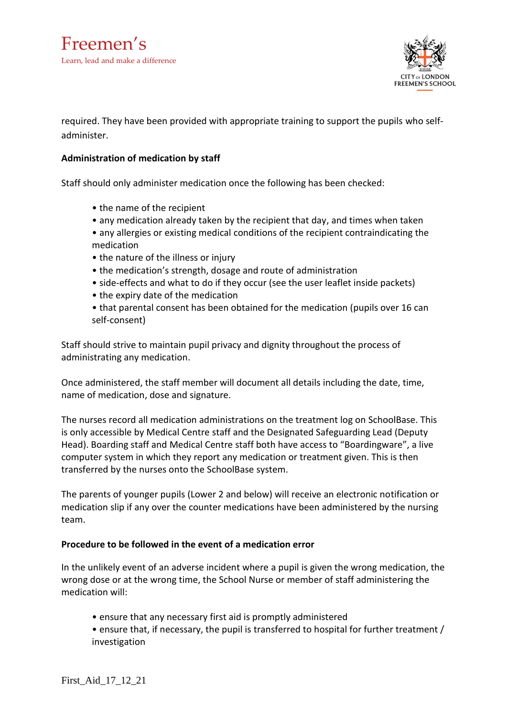

required. They have been provided with appropriate training to support the pupils who selfadminister.

#### **Administration of medication by staff**

Staff should only administer medication once the following has been checked:

- the name of the recipient
- any medication already taken by the recipient that day, and times when taken
- any allergies or existing medical conditions of the recipient contraindicating the medication
- the nature of the illness or injury
- the medication's strength, dosage and route of administration
- side-effects and what to do if they occur (see the user leaflet inside packets)
- the expiry date of the medication
- that parental consent has been obtained for the medication (pupils over 16 can self-consent)

Staff should strive to maintain pupil privacy and dignity throughout the process of administrating any medication.

Once administered, the staff member will document all details including the date, time, name of medication, dose and signature.

The nurses record all medication administrations on the treatment log on SchoolBase. This is only accessible by Medical Centre staff and the Designated Safeguarding Lead (Deputy Head). Boarding staff and Medical Centre staff both have access to "Boardingware", a live computer system in which they report any medication or treatment given. This is then transferred by the nurses onto the SchoolBase system.

The parents of younger pupils (Lower 2 and below) will receive an electronic notification or medication slip if any over the counter medications have been administered by the nursing team.

#### **Procedure to be followed in the event of a medication error**

In the unlikely event of an adverse incident where a pupil is given the wrong medication, the wrong dose or at the wrong time, the School Nurse or member of staff administering the medication will:

- ensure that any necessary first aid is promptly administered
- ensure that, if necessary, the pupil is transferred to hospital for further treatment / investigation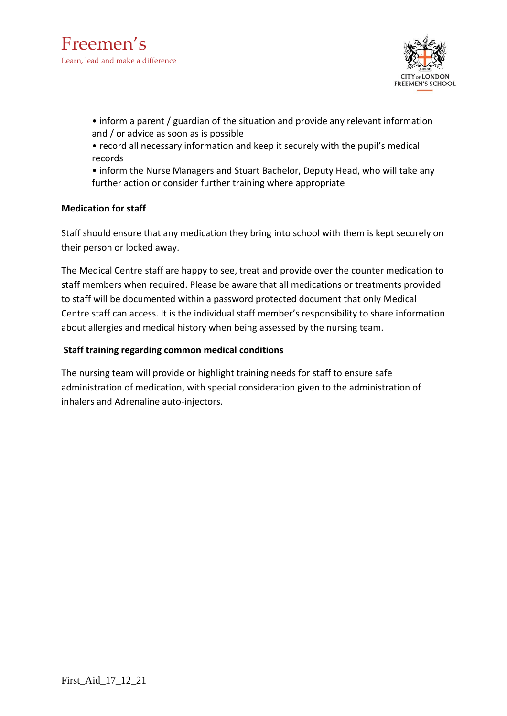

• inform a parent / guardian of the situation and provide any relevant information and / or advice as soon as is possible

• record all necessary information and keep it securely with the pupil's medical records

• inform the Nurse Managers and Stuart Bachelor, Deputy Head, who will take any further action or consider further training where appropriate

#### **Medication for staff**

Staff should ensure that any medication they bring into school with them is kept securely on their person or locked away.

The Medical Centre staff are happy to see, treat and provide over the counter medication to staff members when required. Please be aware that all medications or treatments provided to staff will be documented within a password protected document that only Medical Centre staff can access. It is the individual staff member's responsibility to share information about allergies and medical history when being assessed by the nursing team.

#### **Staff training regarding common medical conditions**

The nursing team will provide or highlight training needs for staff to ensure safe administration of medication, with special consideration given to the administration of inhalers and Adrenaline auto-injectors.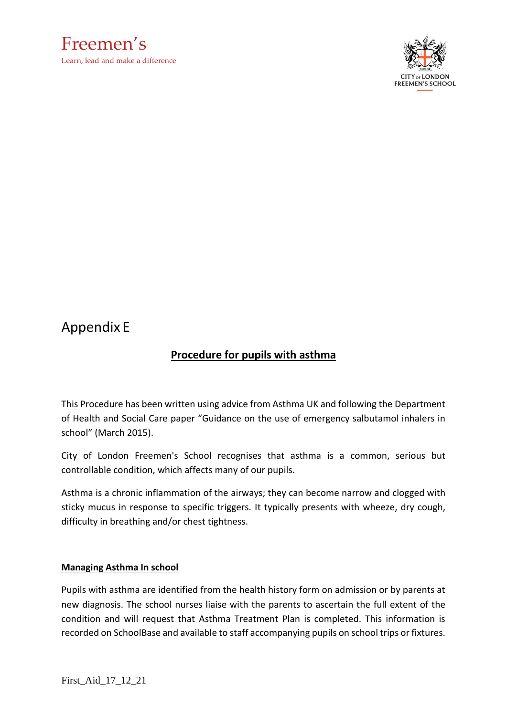



### Appendix E

### **Procedure for pupils with asthma**

This Procedure has been written using advice from Asthma UK and following the Department of Health and Social Care paper "Guidance on the use of emergency salbutamol inhalers in school" (March 2015).

City of London Freemen's School recognises that asthma is a common, serious but controllable condition, which affects many of our pupils.

Asthma is a chronic inflammation of the airways; they can become narrow and clogged with sticky mucus in response to specific triggers. It typically presents with wheeze, dry cough, difficulty in breathing and/or chest tightness.

#### **Managing Asthma In school**

Pupils with asthma are identified from the health history form on admission or by parents at new diagnosis. The school nurses liaise with the parents to ascertain the full extent of the condition and will request that Asthma Treatment Plan is completed. This information is recorded on SchoolBase and available to staff accompanying pupils on school trips or fixtures.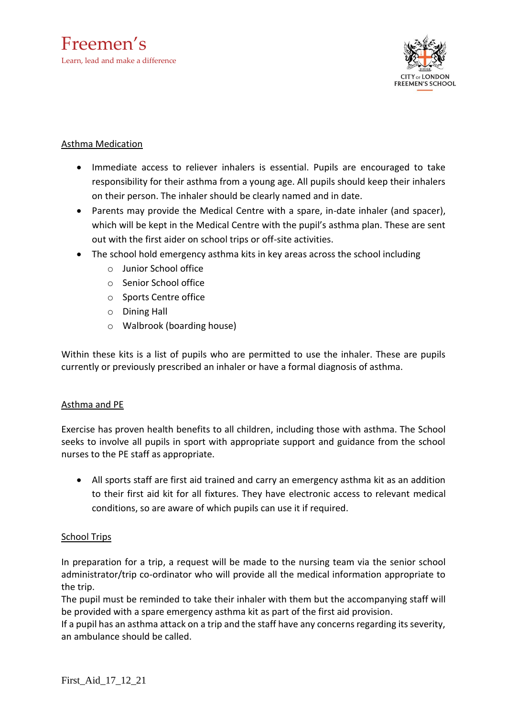Freemen's Learn, lead and make a difference



#### Asthma Medication

- Immediate access to reliever inhalers is essential. Pupils are encouraged to take responsibility for their asthma from a young age. All pupils should keep their inhalers on their person. The inhaler should be clearly named and in date.
- Parents may provide the Medical Centre with a spare, in-date inhaler (and spacer), which will be kept in the Medical Centre with the pupil's asthma plan. These are sent out with the first aider on school trips or off-site activities.
- The school hold emergency asthma kits in key areas across the school including
	- o Junior School office
	- o Senior School office
	- o Sports Centre office
	- o Dining Hall
	- o Walbrook (boarding house)

Within these kits is a list of pupils who are permitted to use the inhaler. These are pupils currently or previously prescribed an inhaler or have a formal diagnosis of asthma.

#### Asthma and PE

Exercise has proven health benefits to all children, including those with asthma. The School seeks to involve all pupils in sport with appropriate support and guidance from the school nurses to the PE staff as appropriate.

• All sports staff are first aid trained and carry an emergency asthma kit as an addition to their first aid kit for all fixtures. They have electronic access to relevant medical conditions, so are aware of which pupils can use it if required.

#### School Trips

In preparation for a trip, a request will be made to the nursing team via the senior school administrator/trip co-ordinator who will provide all the medical information appropriate to the trip.

The pupil must be reminded to take their inhaler with them but the accompanying staff will be provided with a spare emergency asthma kit as part of the first aid provision.

If a pupil has an asthma attack on a trip and the staff have any concerns regarding its severity, an ambulance should be called.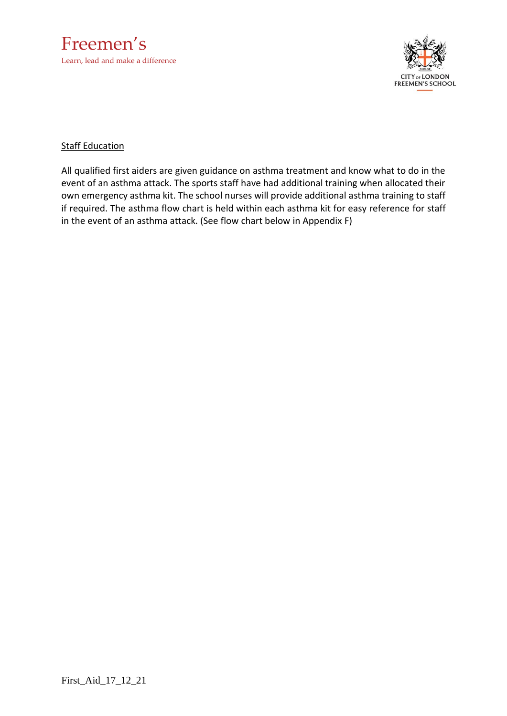



#### Staff Education

All qualified first aiders are given guidance on asthma treatment and know what to do in the event of an asthma attack. The sports staff have had additional training when allocated their own emergency asthma kit. The school nurses will provide additional asthma training to staff if required. The asthma flow chart is held within each asthma kit for easy reference for staff in the event of an asthma attack. (See flow chart below in Appendix F)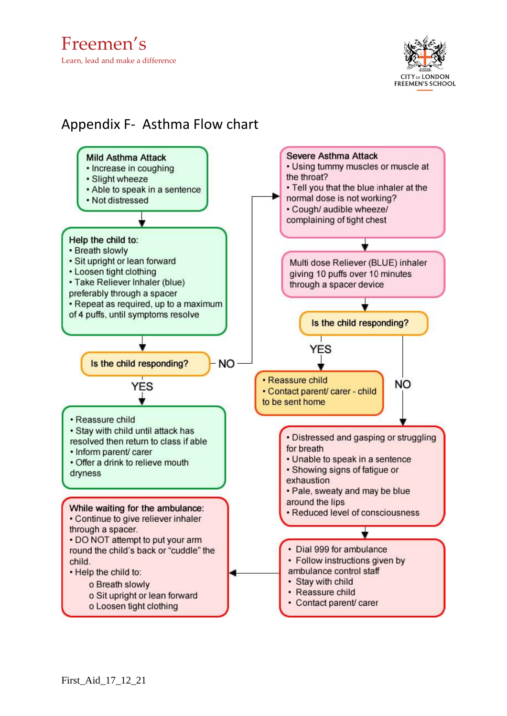## Freemen's

Learn, lead and make a difference



### Appendix F- Asthma Flow chart

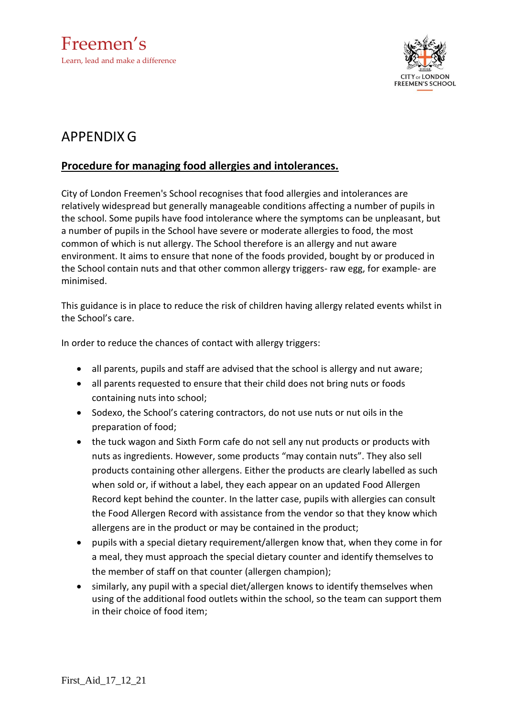



### APPENDIXG

### **Procedure for managing food allergies and intolerances.**

City of London Freemen's School recognises that food allergies and intolerances are relatively widespread but generally manageable conditions affecting a number of pupils in the school. Some pupils have food intolerance where the symptoms can be unpleasant, but a number of pupils in the School have severe or moderate allergies to food, the most common of which is nut allergy. The School therefore is an allergy and nut aware environment. It aims to ensure that none of the foods provided, bought by or produced in the School contain nuts and that other common allergy triggers- raw egg, for example- are minimised.

This guidance is in place to reduce the risk of children having allergy related events whilst in the School's care.

In order to reduce the chances of contact with allergy triggers:

- all parents, pupils and staff are advised that the school is allergy and nut aware;
- all parents requested to ensure that their child does not bring nuts or foods containing nuts into school;
- Sodexo, the School's catering contractors, do not use nuts or nut oils in the preparation of food;
- the tuck wagon and Sixth Form cafe do not sell any nut products or products with nuts as ingredients. However, some products "may contain nuts". They also sell products containing other allergens. Either the products are clearly labelled as such when sold or, if without a label, they each appear on an updated Food Allergen Record kept behind the counter. In the latter case, pupils with allergies can consult the Food Allergen Record with assistance from the vendor so that they know which allergens are in the product or may be contained in the product;
- pupils with a special dietary requirement/allergen know that, when they come in for a meal, they must approach the special dietary counter and identify themselves to the member of staff on that counter (allergen champion);
- similarly, any pupil with a special diet/allergen knows to identify themselves when using of the additional food outlets within the school, so the team can support them in their choice of food item;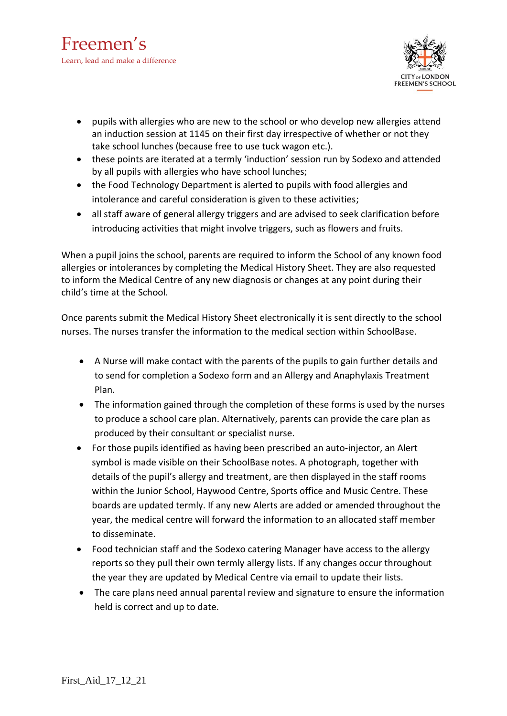

- pupils with allergies who are new to the school or who develop new allergies attend an induction session at 1145 on their first day irrespective of whether or not they take school lunches (because free to use tuck wagon etc.).
- these points are iterated at a termly 'induction' session run by Sodexo and attended by all pupils with allergies who have school lunches;
- the Food Technology Department is alerted to pupils with food allergies and intolerance and careful consideration is given to these activities;
- all staff aware of general allergy triggers and are advised to seek clarification before introducing activities that might involve triggers, such as flowers and fruits.

When a pupil joins the school, parents are required to inform the School of any known food allergies or intolerances by completing the Medical History Sheet. They are also requested to inform the Medical Centre of any new diagnosis or changes at any point during their child's time at the School.

Once parents submit the Medical History Sheet electronically it is sent directly to the school nurses. The nurses transfer the information to the medical section within SchoolBase.

- A Nurse will make contact with the parents of the pupils to gain further details and to send for completion a Sodexo form and an Allergy and Anaphylaxis Treatment Plan.
- The information gained through the completion of these forms is used by the nurses to produce a school care plan. Alternatively, parents can provide the care plan as produced by their consultant or specialist nurse.
- For those pupils identified as having been prescribed an auto-injector, an Alert symbol is made visible on their SchoolBase notes. A photograph, together with details of the pupil's allergy and treatment, are then displayed in the staff rooms within the Junior School, Haywood Centre, Sports office and Music Centre. These boards are updated termly. If any new Alerts are added or amended throughout the year, the medical centre will forward the information to an allocated staff member to disseminate.
- Food technician staff and the Sodexo catering Manager have access to the allergy reports so they pull their own termly allergy lists. If any changes occur throughout the year they are updated by Medical Centre via email to update their lists.
- The care plans need annual parental review and signature to ensure the information held is correct and up to date.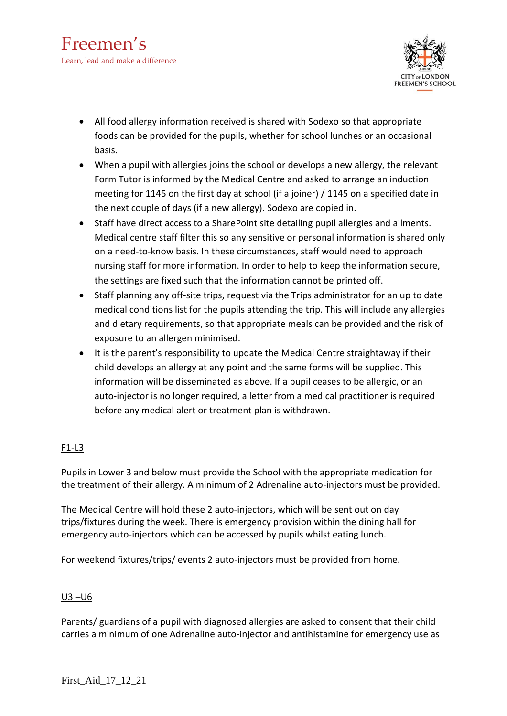

- All food allergy information received is shared with Sodexo so that appropriate foods can be provided for the pupils, whether for school lunches or an occasional basis.
- When a pupil with allergies joins the school or develops a new allergy, the relevant Form Tutor is informed by the Medical Centre and asked to arrange an induction meeting for 1145 on the first day at school (if a joiner) / 1145 on a specified date in the next couple of days (if a new allergy). Sodexo are copied in.
- Staff have direct access to a SharePoint site detailing pupil allergies and ailments. Medical centre staff filter this so any sensitive or personal information is shared only on a need-to-know basis. In these circumstances, staff would need to approach nursing staff for more information. In order to help to keep the information secure, the settings are fixed such that the information cannot be printed off.
- Staff planning any off-site trips, request via the Trips administrator for an up to date medical conditions list for the pupils attending the trip. This will include any allergies and dietary requirements, so that appropriate meals can be provided and the risk of exposure to an allergen minimised.
- It is the parent's responsibility to update the Medical Centre straightaway if their child develops an allergy at any point and the same forms will be supplied. This information will be disseminated as above. If a pupil ceases to be allergic, or an auto-injector is no longer required, a letter from a medical practitioner is required before any medical alert or treatment plan is withdrawn.

#### F1-L3

Pupils in Lower 3 and below must provide the School with the appropriate medication for the treatment of their allergy. A minimum of 2 Adrenaline auto-injectors must be provided.

The Medical Centre will hold these 2 auto-injectors, which will be sent out on day trips/fixtures during the week. There is emergency provision within the dining hall for emergency auto-injectors which can be accessed by pupils whilst eating lunch.

For weekend fixtures/trips/ events 2 auto-injectors must be provided from home.

#### $U3 - U6$

Parents/ guardians of a pupil with diagnosed allergies are asked to consent that their child carries a minimum of one Adrenaline auto-injector and antihistamine for emergency use as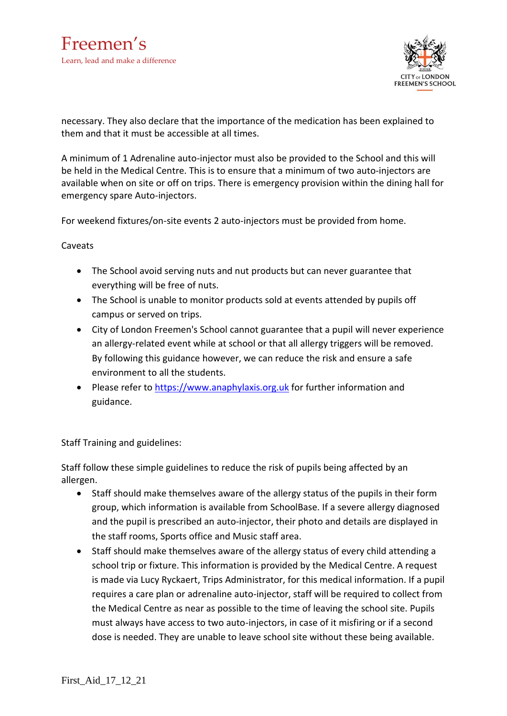

necessary. They also declare that the importance of the medication has been explained to them and that it must be accessible at all times.

A minimum of 1 Adrenaline auto-injector must also be provided to the School and this will be held in the Medical Centre. This is to ensure that a minimum of two auto-injectors are available when on site or off on trips. There is emergency provision within the dining hall for emergency spare Auto-injectors.

For weekend fixtures/on-site events 2 auto-injectors must be provided from home.

#### Caveats

- The School avoid serving nuts and nut products but can never guarantee that everything will be free of nuts.
- The School is unable to monitor products sold at events attended by pupils off campus or served on trips.
- City of London Freemen's School cannot guarantee that a pupil will never experience an allergy-related event while at school or that all allergy triggers will be removed. By following this guidance however, we can reduce the risk and ensure a safe environment to all the students.
- Please refer to [https://www.anaphylaxis.org.uk](https://www.anaphylaxis.org.uk/) for further information and guidance.

#### Staff Training and guidelines:

Staff follow these simple guidelines to reduce the risk of pupils being affected by an allergen.

- Staff should make themselves aware of the allergy status of the pupils in their form group, which information is available from SchoolBase. If a severe allergy diagnosed and the pupil is prescribed an auto-injector, their photo and details are displayed in the staff rooms, Sports office and Music staff area.
- Staff should make themselves aware of the allergy status of every child attending a school trip or fixture. This information is provided by the Medical Centre. A request is made via Lucy Ryckaert, Trips Administrator, for this medical information. If a pupil requires a care plan or adrenaline auto-injector, staff will be required to collect from the Medical Centre as near as possible to the time of leaving the school site. Pupils must always have access to two auto-injectors, in case of it misfiring or if a second dose is needed. They are unable to leave school site without these being available.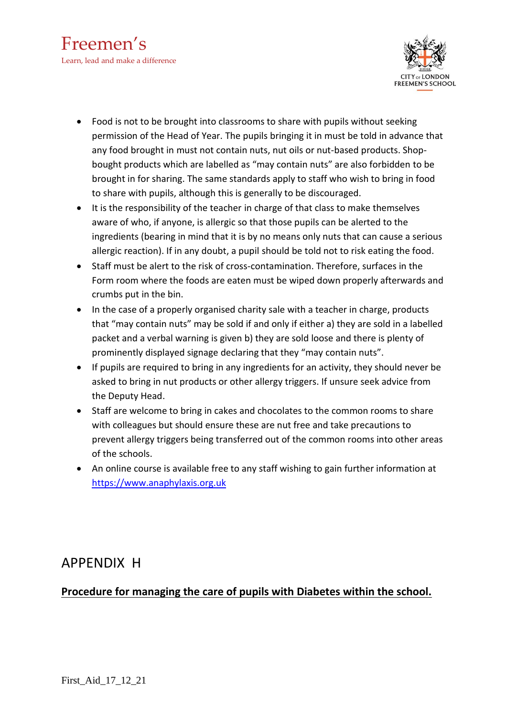

- Food is not to be brought into classrooms to share with pupils without seeking permission of the Head of Year. The pupils bringing it in must be told in advance that any food brought in must not contain nuts, nut oils or nut-based products. Shopbought products which are labelled as "may contain nuts" are also forbidden to be brought in for sharing. The same standards apply to staff who wish to bring in food to share with pupils, although this is generally to be discouraged.
- It is the responsibility of the teacher in charge of that class to make themselves aware of who, if anyone, is allergic so that those pupils can be alerted to the ingredients (bearing in mind that it is by no means only nuts that can cause a serious allergic reaction). If in any doubt, a pupil should be told not to risk eating the food.
- Staff must be alert to the risk of cross-contamination. Therefore, surfaces in the Form room where the foods are eaten must be wiped down properly afterwards and crumbs put in the bin.
- In the case of a properly organised charity sale with a teacher in charge, products that "may contain nuts" may be sold if and only if either a) they are sold in a labelled packet and a verbal warning is given b) they are sold loose and there is plenty of prominently displayed signage declaring that they "may contain nuts".
- If pupils are required to bring in any ingredients for an activity, they should never be asked to bring in nut products or other allergy triggers. If unsure seek advice from the Deputy Head.
- Staff are welcome to bring in cakes and chocolates to the common rooms to share with colleagues but should ensure these are nut free and take precautions to prevent allergy triggers being transferred out of the common rooms into other areas of the schools.
- An online course is available free to any staff wishing to gain further information at [https://www.anaphylaxis.org.uk](https://www.anaphylaxis.org.uk/)

### APPENDIX H

#### **Procedure for managing the care of pupils with Diabetes within the school.**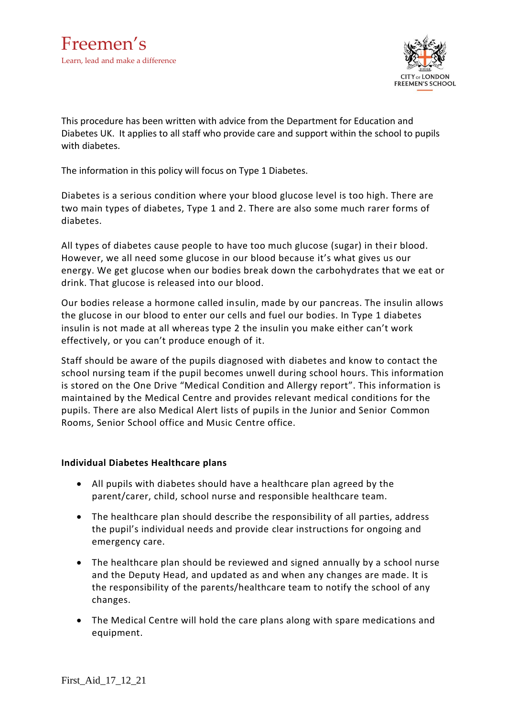

This procedure has been written with advice from the Department for Education and Diabetes UK. It applies to all staff who provide care and support within the school to pupils with diabetes.

The information in this policy will focus on Type 1 Diabetes.

Diabetes is a serious condition where your blood glucose level is too high. There are two main types of diabetes, Type 1 and 2. There are also some much rarer forms of diabetes.

All types of diabetes cause people to have too much glucose (sugar) in their blood. However, we all need some glucose in our blood because it's what gives us our energy. We get glucose when our bodies break down the carbohydrates that we eat or drink. That glucose is released into our blood.

Our bodies release a hormone called insulin, made by our pancreas. The insulin allows the glucose in our blood to enter our cells and fuel our bodies. In Type 1 diabetes insulin is not made at all whereas type 2 the insulin you make either can't work effectively, or you can't produce enough of it.

Staff should be aware of the pupils diagnosed with diabetes and know to contact the school nursing team if the pupil becomes unwell during school hours. This information is stored on the One Drive "Medical Condition and Allergy report". This information is maintained by the Medical Centre and provides relevant medical conditions for the pupils. There are also Medical Alert lists of pupils in the Junior and Senior Common Rooms, Senior School office and Music Centre office.

#### **Individual Diabetes Healthcare plans**

- All pupils with diabetes should have a healthcare plan agreed by the parent/carer, child, school nurse and responsible healthcare team.
- The healthcare plan should describe the responsibility of all parties, address the pupil's individual needs and provide clear instructions for ongoing and emergency care.
- The healthcare plan should be reviewed and signed annually by a school nurse and the Deputy Head, and updated as and when any changes are made. It is the responsibility of the parents/healthcare team to notify the school of any changes.
- The Medical Centre will hold the care plans along with spare medications and equipment.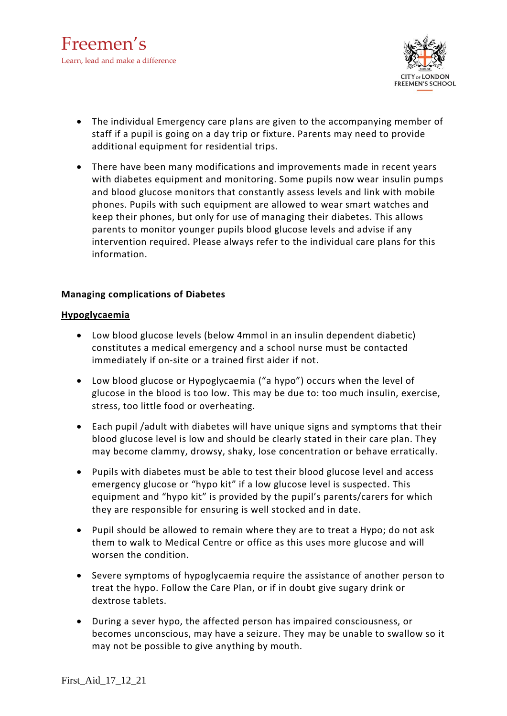

- The individual Emergency care plans are given to the accompanying member of staff if a pupil is going on a day trip or fixture. Parents may need to provide additional equipment for residential trips.
- There have been many modifications and improvements made in recent years with diabetes equipment and monitoring. Some pupils now wear insulin pumps and blood glucose monitors that constantly assess levels and link with mobile phones. Pupils with such equipment are allowed to wear smart watches and keep their phones, but only for use of managing their diabetes. This allows parents to monitor younger pupils blood glucose levels and advise if any intervention required. Please always refer to the individual care plans for this information.

#### **Managing complications of Diabetes**

#### **Hypoglycaemia**

- Low blood glucose levels (below 4mmol in an insulin dependent diabetic) constitutes a medical emergency and a school nurse must be contacted immediately if on-site or a trained first aider if not.
- Low blood glucose or Hypoglycaemia ("a hypo") occurs when the level of glucose in the blood is too low. This may be due to: too much insulin, exercise, stress, too little food or overheating.
- Each pupil /adult with diabetes will have unique signs and symptoms that their blood glucose level is low and should be clearly stated in their care plan. They may become clammy, drowsy, shaky, lose concentration or behave erratically.
- Pupils with diabetes must be able to test their blood glucose level and access emergency glucose or "hypo kit" if a low glucose level is suspected. This equipment and "hypo kit" is provided by the pupil's parents/carers for which they are responsible for ensuring is well stocked and in date.
- Pupil should be allowed to remain where they are to treat a Hypo; do not ask them to walk to Medical Centre or office as this uses more glucose and will worsen the condition.
- Severe symptoms of hypoglycaemia require the assistance of another person to treat the hypo. Follow the Care Plan, or if in doubt give sugary drink or dextrose tablets.
- During a sever hypo, the affected person has impaired consciousness, or becomes unconscious, may have a seizure. They may be unable to swallow so it may not be possible to give anything by mouth.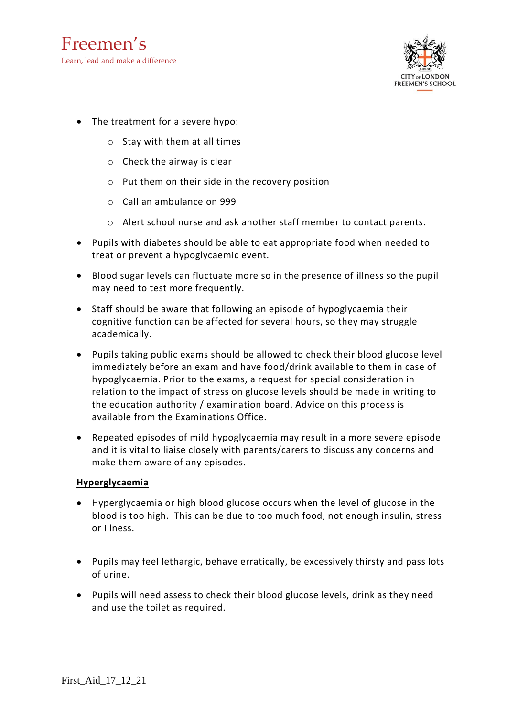Freemen's Learn, lead and make a difference



- The treatment for a severe hypo:
	- o Stay with them at all times
	- o Check the airway is clear
	- o Put them on their side in the recovery position
	- o Call an ambulance on 999
	- o Alert school nurse and ask another staff member to contact parents.
- Pupils with diabetes should be able to eat appropriate food when needed to treat or prevent a hypoglycaemic event.
- Blood sugar levels can fluctuate more so in the presence of illness so the pupil may need to test more frequently.
- Staff should be aware that following an episode of hypoglycaemia their cognitive function can be affected for several hours, so they may struggle academically.
- Pupils taking public exams should be allowed to check their blood glucose level immediately before an exam and have food/drink available to them in case of hypoglycaemia. Prior to the exams, a request for special consideration in relation to the impact of stress on glucose levels should be made in writing to the education authority / examination board. Advice on this process is available from the Examinations Office.
- Repeated episodes of mild hypoglycaemia may result in a more severe episode and it is vital to liaise closely with parents/carers to discuss any concerns and make them aware of any episodes.

#### **Hyperglycaemia**

- Hyperglycaemia or high blood glucose occurs when the level of glucose in the blood is too high. This can be due to too much food, not enough insulin, stress or illness.
- Pupils may feel lethargic, behave erratically, be excessively thirsty and pass lots of urine.
- Pupils will need assess to check their blood glucose levels, drink as they need and use the toilet as required.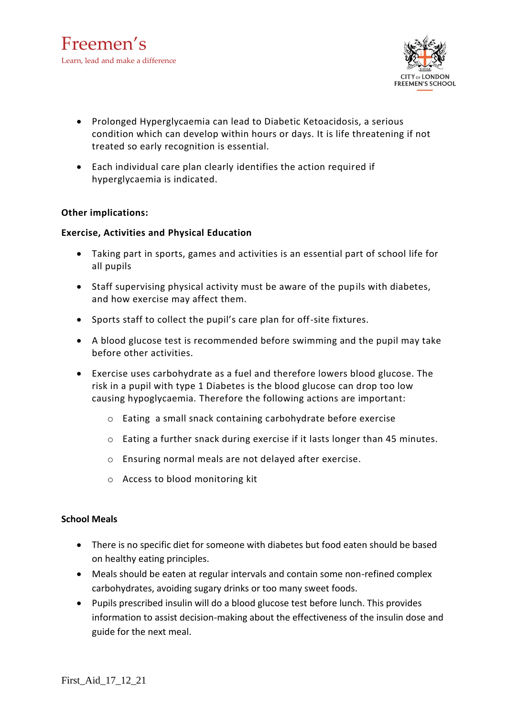

- Prolonged Hyperglycaemia can lead to Diabetic Ketoacidosis, a serious condition which can develop within hours or days. It is life threatening if not treated so early recognition is essential.
- Each individual care plan clearly identifies the action required if hyperglycaemia is indicated.

#### **Other implications:**

#### **Exercise, Activities and Physical Education**

- Taking part in sports, games and activities is an essential part of school life for all pupils
- Staff supervising physical activity must be aware of the pupils with diabetes, and how exercise may affect them.
- Sports staff to collect the pupil's care plan for off-site fixtures.
- A blood glucose test is recommended before swimming and the pupil may take before other activities.
- Exercise uses carbohydrate as a fuel and therefore lowers blood glucose. The risk in a pupil with type 1 Diabetes is the blood glucose can drop too low causing hypoglycaemia. Therefore the following actions are important:
	- o Eating a small snack containing carbohydrate before exercise
	- $\circ$  Eating a further snack during exercise if it lasts longer than 45 minutes.
	- o Ensuring normal meals are not delayed after exercise.
	- o Access to blood monitoring kit

#### **School Meals**

- There is no specific diet for someone with diabetes but food eaten should be based on healthy eating principles.
- Meals should be eaten at regular intervals and contain some non-refined complex carbohydrates, avoiding sugary drinks or too many sweet foods.
- Pupils prescribed insulin will do a blood glucose test before lunch. This provides information to assist decision-making about the effectiveness of the insulin dose and guide for the next meal.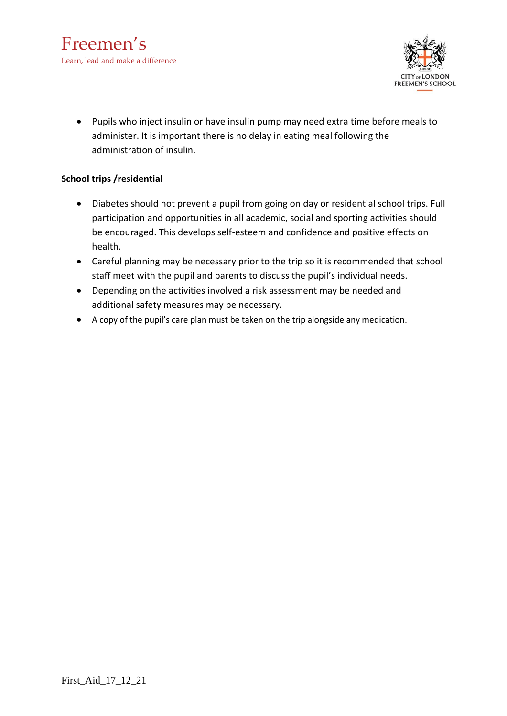

• Pupils who inject insulin or have insulin pump may need extra time before meals to administer. It is important there is no delay in eating meal following the administration of insulin.

#### **School trips /residential**

- Diabetes should not prevent a pupil from going on day or residential school trips. Full participation and opportunities in all academic, social and sporting activities should be encouraged. This develops self-esteem and confidence and positive effects on health.
- Careful planning may be necessary prior to the trip so it is recommended that school staff meet with the pupil and parents to discuss the pupil's individual needs.
- Depending on the activities involved a risk assessment may be needed and additional safety measures may be necessary.
- A copy of the pupil's care plan must be taken on the trip alongside any medication.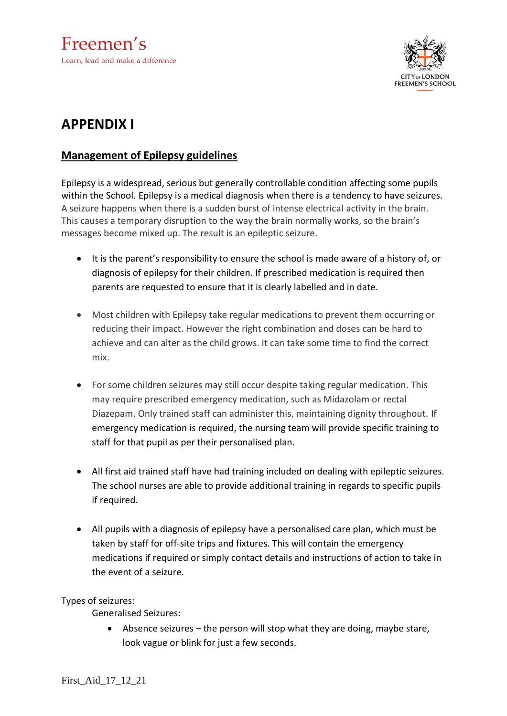

### **APPENDIX I**

### **Management of Epilepsy guidelines**

Epilepsy is a widespread, serious but generally controllable condition affecting some pupils within the School. Epilepsy is a medical diagnosis when there is a tendency to have seizures. A seizure happens when there is a sudden burst of intense electrical activity in the brain. This causes a temporary disruption to the way the brain normally works, so the brain's messages become mixed up. The result is an epileptic seizure.

- It is the parent's responsibility to ensure the school is made aware of a history of, or diagnosis of epilepsy for their children. If prescribed medication is required then parents are requested to ensure that it is clearly labelled and in date.
- Most children with Epilepsy take regular medications to prevent them occurring or reducing their impact. However the right combination and doses can be hard to achieve and can alter as the child grows. It can take some time to find the correct mix.
- For some children seizures may still occur despite taking regular medication. This may require prescribed emergency medication, such as Midazolam or rectal Diazepam. Only trained staff can administer this, maintaining dignity throughout. If emergency medication is required, the nursing team will provide specific training to staff for that pupil as per their personalised plan.
- All first aid trained staff have had training included on dealing with epileptic seizures. The school nurses are able to provide additional training in regards to specific pupils if required.
- All pupils with a diagnosis of epilepsy have a personalised care plan, which must be taken by staff for off-site trips and fixtures. This will contain the emergency medications if required or simply contact details and instructions of action to take in the event of a seizure.

Types of seizures:

Generalised Seizures:

• Absence seizures – the person will stop what they are doing, maybe stare, look vague or blink for just a few seconds.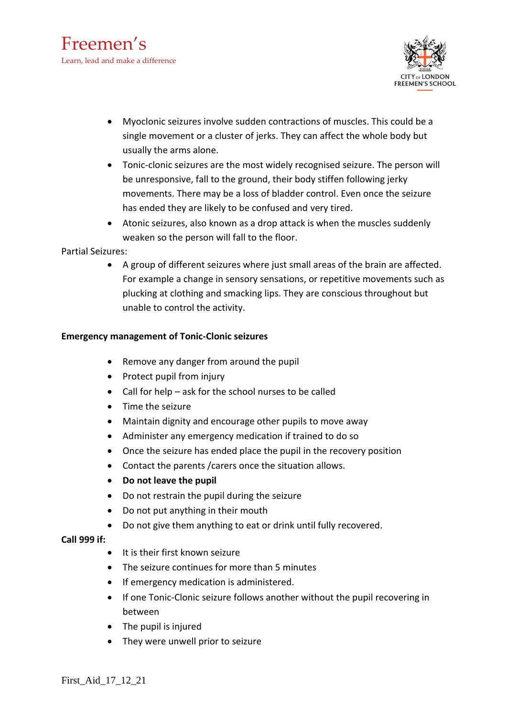

- Myoclonic seizures involve sudden contractions of muscles. This could be a single movement or a cluster of jerks. They can affect the whole body but usually the arms alone.
- Tonic-clonic seizures are the most widely recognised seizure. The person will be unresponsive, fall to the ground, their body stiffen following jerky movements. There may be a loss of bladder control. Even once the seizure has ended they are likely to be confused and very tired.
- Atonic seizures, also known as a drop attack is when the muscles suddenly weaken so the person will fall to the floor.

#### Partial Seizures:

• A group of different seizures where just small areas of the brain are affected. For example a change in sensory sensations, or repetitive movements such as plucking at clothing and smacking lips. They are conscious throughout but unable to control the activity.

#### **Emergency management of Tonic-Clonic seizures**

- Remove any danger from around the pupil
- Protect pupil from injury
- Call for help ask for the school nurses to be called
- Time the seizure
- Maintain dignity and encourage other pupils to move away
- Administer any emergency medication if trained to do so
- Once the seizure has ended place the pupil in the recovery position
- Contact the parents /carers once the situation allows.
- **Do not leave the pupil**
- Do not restrain the pupil during the seizure
- Do not put anything in their mouth
- Do not give them anything to eat or drink until fully recovered.

#### **Call 999 if:**

- It is their first known seizure
- The seizure continues for more than 5 minutes
- If emergency medication is administered.
- If one Tonic-Clonic seizure follows another without the pupil recovering in between
- The pupil is injured
- They were unwell prior to seizure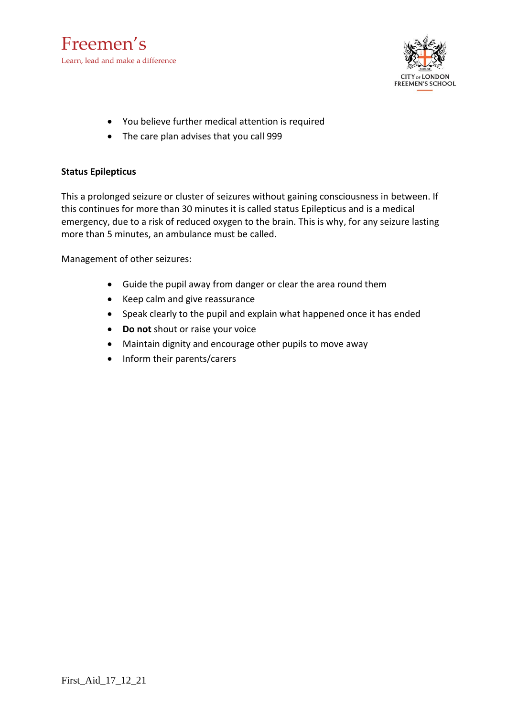



- You believe further medical attention is required
- The care plan advises that you call 999

#### **Status Epilepticus**

This a prolonged seizure or cluster of seizures without gaining consciousness in between. If this continues for more than 30 minutes it is called status Epilepticus and is a medical emergency, due to a risk of reduced oxygen to the brain. This is why, for any seizure lasting more than 5 minutes, an ambulance must be called.

Management of other seizures:

- Guide the pupil away from danger or clear the area round them
- Keep calm and give reassurance
- Speak clearly to the pupil and explain what happened once it has ended
- **Do not** shout or raise your voice
- Maintain dignity and encourage other pupils to move away
- Inform their parents/carers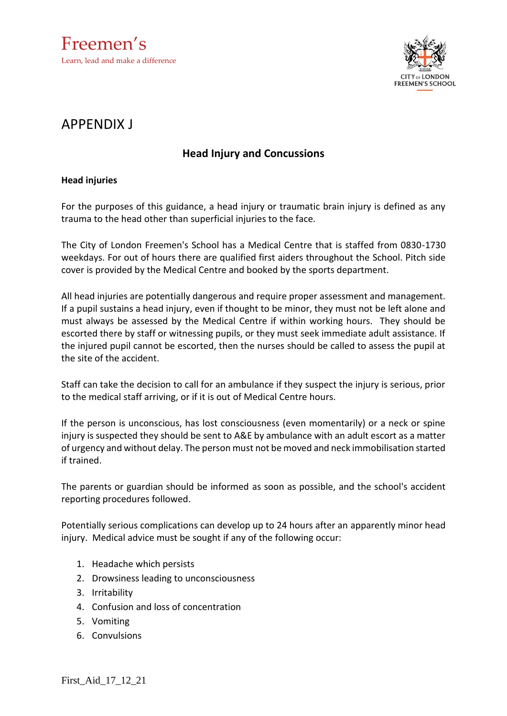



### APPENDIX J

### **Head Injury and Concussions**

#### **Head injuries**

For the purposes of this guidance, a head injury or traumatic brain injury is defined as any trauma to the head other than superficial injuries to the face.

The City of London Freemen's School has a Medical Centre that is staffed from 0830-1730 weekdays. For out of hours there are qualified first aiders throughout the School. Pitch side cover is provided by the Medical Centre and booked by the sports department.

All head injuries are potentially dangerous and require proper assessment and management. If a pupil sustains a head injury, even if thought to be minor, they must not be left alone and must always be assessed by the Medical Centre if within working hours. They should be escorted there by staff or witnessing pupils, or they must seek immediate adult assistance. If the injured pupil cannot be escorted, then the nurses should be called to assess the pupil at the site of the accident.

Staff can take the decision to call for an ambulance if they suspect the injury is serious, prior to the medical staff arriving, or if it is out of Medical Centre hours.

If the person is unconscious, has lost consciousness (even momentarily) or a neck or spine injury is suspected they should be sent to A&E by ambulance with an adult escort as a matter of urgency and without delay. The person must not be moved and neck immobilisation started if trained.

The parents or guardian should be informed as soon as possible, and the school's accident reporting procedures followed.

Potentially serious complications can develop up to 24 hours after an apparently minor head injury. Medical advice must be sought if any of the following occur:

- 1. Headache which persists
- 2. Drowsiness leading to unconsciousness
- 3. Irritability
- 4. Confusion and loss of concentration
- 5. Vomiting
- 6. Convulsions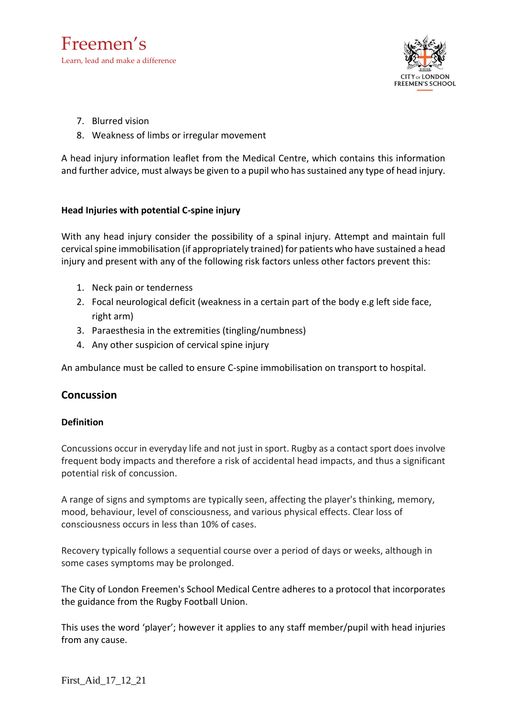

- 7. Blurred vision
- 8. Weakness of limbs or irregular movement

A head injury information leaflet from the Medical Centre, which contains this information and further advice, must always be given to a pupil who has sustained any type of head injury.

#### **Head Injuries with potential C-spine injury**

With any head injury consider the possibility of a spinal injury. Attempt and maintain full cervical spine immobilisation (if appropriately trained) for patients who have sustained a head injury and present with any of the following risk factors unless other factors prevent this:

- 1. Neck pain or tenderness
- 2. Focal neurological deficit (weakness in a certain part of the body e.g left side face, right arm)
- 3. Paraesthesia in the extremities (tingling/numbness)
- 4. Any other suspicion of cervical spine injury

An ambulance must be called to ensure C-spine immobilisation on transport to hospital.

#### **Concussion**

#### **Definition**

Concussions occur in everyday life and not just in sport. Rugby as a contact sport does involve frequent body impacts and therefore a risk of accidental head impacts, and thus a significant potential risk of concussion.

A range of signs and symptoms are typically seen, affecting the player's thinking, memory, mood, behaviour, level of consciousness, and various physical effects. Clear loss of consciousness occurs in less than 10% of cases.

Recovery typically follows a sequential course over a period of days or weeks, although in some cases symptoms may be prolonged.

The City of London Freemen's School Medical Centre adheres to a protocol that incorporates the guidance from the Rugby Football Union.

This uses the word 'player'; however it applies to any staff member/pupil with head injuries from any cause.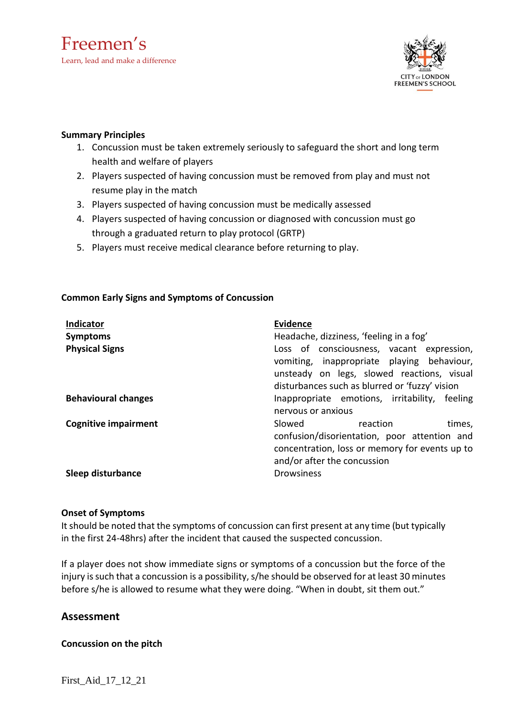

#### **Summary Principles**

- 1. Concussion must be taken extremely seriously to safeguard the short and long term health and welfare of players
- 2. Players suspected of having concussion must be removed from play and must not resume play in the match
- 3. Players suspected of having concussion must be medically assessed
- 4. Players suspected of having concussion or diagnosed with concussion must go through a graduated return to play protocol (GRTP)
- 5. Players must receive medical clearance before returning to play.

#### **Common Early Signs and Symptoms of Concussion**

| Indicator                   | <b>Evidence</b>                                                                                                                                                                         |
|-----------------------------|-----------------------------------------------------------------------------------------------------------------------------------------------------------------------------------------|
| <b>Symptoms</b>             | Headache, dizziness, 'feeling in a fog'                                                                                                                                                 |
| <b>Physical Signs</b>       | Loss of consciousness, vacant expression,<br>vomiting, inappropriate playing behaviour,<br>unsteady on legs, slowed reactions, visual<br>disturbances such as blurred or 'fuzzy' vision |
| <b>Behavioural changes</b>  | Inappropriate emotions, irritability, feeling<br>nervous or anxious                                                                                                                     |
| <b>Cognitive impairment</b> | Slowed<br>times,<br>reaction<br>confusion/disorientation, poor attention and<br>concentration, loss or memory for events up to<br>and/or after the concussion                           |
| Sleep disturbance           | <b>Drowsiness</b>                                                                                                                                                                       |

#### **Onset of Symptoms**

It should be noted that the symptoms of concussion can first present at any time (but typically in the first 24-48hrs) after the incident that caused the suspected concussion.

If a player does not show immediate signs or symptoms of a concussion but the force of the injury is such that a concussion is a possibility, s/he should be observed for at least 30 minutes before s/he is allowed to resume what they were doing. "When in doubt, sit them out."

#### **Assessment**

#### **Concussion on the pitch**

First\_Aid\_17\_12\_21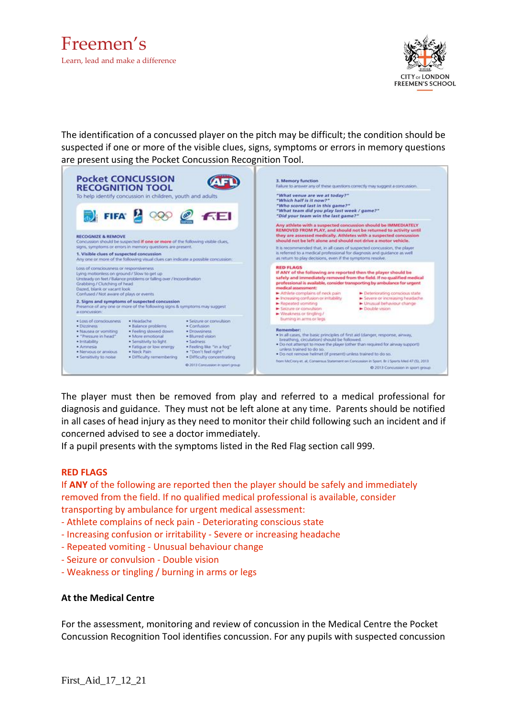



The identification of a concussed player on the pitch may be difficult; the condition should be suspected if one or more of the visible clues, signs, symptoms or errors in memory questions are present using the Pocket Concussion Recognition Tool.



The player must then be removed from play and referred to a medical professional for diagnosis and guidance. They must not be left alone at any time. Parents should be notified in all cases of head injury as they need to monitor their child following such an incident and if concerned advised to see a doctor immediately.

If a pupil presents with the symptoms listed in the Red Flag section call 999.

#### **RED FLAGS**

If **ANY** of the following are reported then the player should be safely and immediately removed from the field. If no qualified medical professional is available, consider transporting by ambulance for urgent medical assessment:

- Athlete complains of neck pain Deteriorating conscious state
- Increasing confusion or irritability Severe or increasing headache
- Repeated vomiting Unusual behaviour change
- Seizure or convulsion Double vision
- Weakness or tingling / burning in arms or legs

#### **At the Medical Centre**

For the assessment, monitoring and review of concussion in the Medical Centre the Pocket Concussion Recognition Tool identifies concussion. For any pupils with suspected concussion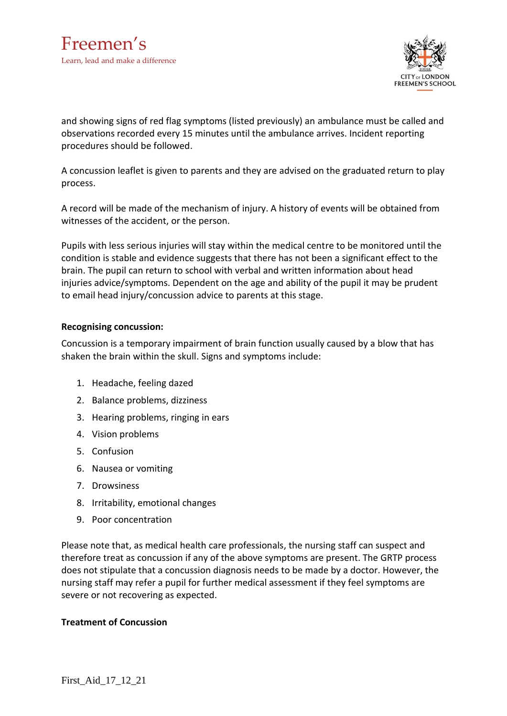

and showing signs of red flag symptoms (listed previously) an ambulance must be called and observations recorded every 15 minutes until the ambulance arrives. Incident reporting procedures should be followed.

A concussion leaflet is given to parents and they are advised on the graduated return to play process.

A record will be made of the mechanism of injury. A history of events will be obtained from witnesses of the accident, or the person.

Pupils with less serious injuries will stay within the medical centre to be monitored until the condition is stable and evidence suggests that there has not been a significant effect to the brain. The pupil can return to school with verbal and written information about head injuries advice/symptoms. Dependent on the age and ability of the pupil it may be prudent to email head injury/concussion advice to parents at this stage.

#### **Recognising concussion:**

Concussion is a temporary impairment of brain function usually caused by a blow that has shaken the brain within the skull. Signs and symptoms include:

- 1. Headache, feeling dazed
- 2. Balance problems, dizziness
- 3. Hearing problems, ringing in ears
- 4. Vision problems
- 5. Confusion
- 6. Nausea or vomiting
- 7. Drowsiness
- 8. Irritability, emotional changes
- 9. Poor concentration

Please note that, as medical health care professionals, the nursing staff can suspect and therefore treat as concussion if any of the above symptoms are present. The GRTP process does not stipulate that a concussion diagnosis needs to be made by a doctor. However, the nursing staff may refer a pupil for further medical assessment if they feel symptoms are severe or not recovering as expected.

#### **Treatment of Concussion**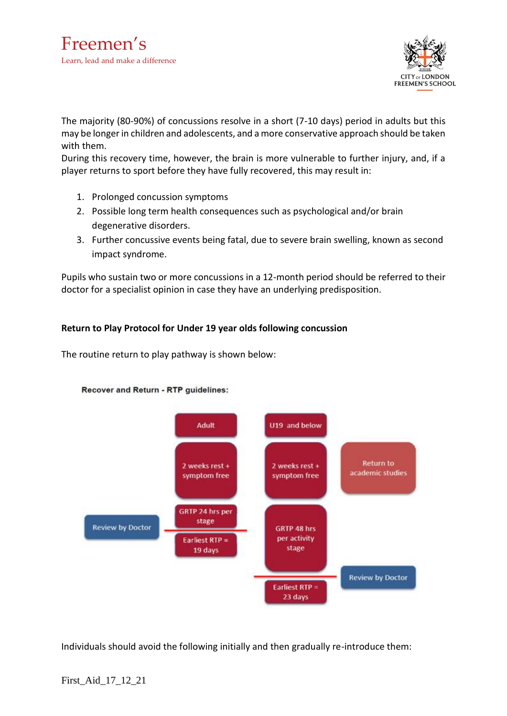

The majority (80-90%) of concussions resolve in a short (7-10 days) period in adults but this may be longer in children and adolescents, and a more conservative approach should be taken with them.

During this recovery time, however, the brain is more vulnerable to further injury, and, if a player returns to sport before they have fully recovered, this may result in:

- 1. Prolonged concussion symptoms
- 2. Possible long term health consequences such as psychological and/or brain degenerative disorders.
- 3. Further concussive events being fatal, due to severe brain swelling, known as second impact syndrome.

Pupils who sustain two or more concussions in a 12-month period should be referred to their doctor for a specialist opinion in case they have an underlying predisposition.

#### **Return to Play Protocol for Under 19 year olds following concussion**

The routine return to play pathway is shown below:





Individuals should avoid the following initially and then gradually re-introduce them: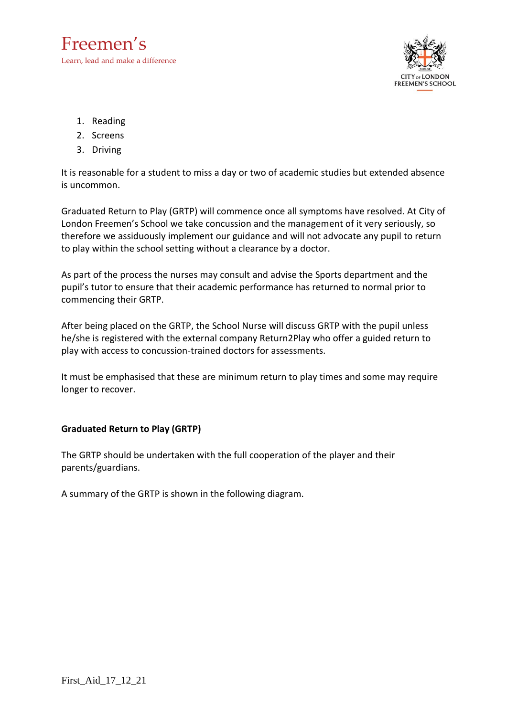

- 1. Reading
- 2. Screens
- 3. Driving

It is reasonable for a student to miss a day or two of academic studies but extended absence is uncommon.

Graduated Return to Play (GRTP) will commence once all symptoms have resolved. At City of London Freemen's School we take concussion and the management of it very seriously, so therefore we assiduously implement our guidance and will not advocate any pupil to return to play within the school setting without a clearance by a doctor.

As part of the process the nurses may consult and advise the Sports department and the pupil's tutor to ensure that their academic performance has returned to normal prior to commencing their GRTP.

After being placed on the GRTP, the School Nurse will discuss GRTP with the pupil unless he/she is registered with the external company Return2Play who offer a guided return to play with access to concussion-trained doctors for assessments.

It must be emphasised that these are minimum return to play times and some may require longer to recover.

#### **Graduated Return to Play (GRTP)**

The GRTP should be undertaken with the full cooperation of the player and their parents/guardians.

A summary of the GRTP is shown in the following diagram.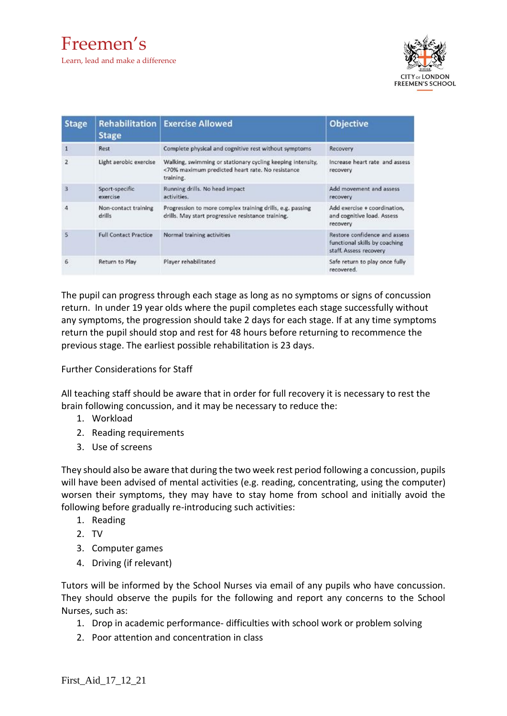## Freemen's

Learn, lead and make a difference



| <b>Stage</b>            | <b>Rehabilitation</b><br><b>Stage</b> | <b>Exercise Allowed</b>                                                                                                     | <b>Objective</b>                                                                         |
|-------------------------|---------------------------------------|-----------------------------------------------------------------------------------------------------------------------------|------------------------------------------------------------------------------------------|
| 1                       | Rest                                  | Complete physical and cognitive rest without symptoms                                                                       | Recovery                                                                                 |
| $\overline{2}$          | Light aerobic exercise                | Walking, swimming or stationary cycling keeping intensity,<br><70% maximum predicted heart rate. No resistance<br>training. | Increase heart rate and assess<br>recovery                                               |
| $\overline{A}$          | Sport-specific<br>exercise            | Running drills. No head impact<br>activities.                                                                               | Add movement and assess<br>recovery                                                      |
| Δ                       | Non-contact training<br>drills        | Progression to more complex training drills, e.g. passing<br>drills. May start progressive resistance training.             | Add exercise + coordination.<br>and cognitive load. Assess<br>recovery                   |
| $\overline{\mathbf{S}}$ | <b>Full Contact Practice</b>          | Normal training activities                                                                                                  | Restore confidence and assess<br>functional skills by coaching<br>staff. Assess recovery |
| 6                       | Return to Play                        | Player rehabilitated                                                                                                        | Safe return to play once fully<br>recovered.                                             |

The pupil can progress through each stage as long as no symptoms or signs of concussion return. In under 19 year olds where the pupil completes each stage successfully without any symptoms, the progression should take 2 days for each stage. If at any time symptoms return the pupil should stop and rest for 48 hours before returning to recommence the previous stage. The earliest possible rehabilitation is 23 days.

#### Further Considerations for Staff

All teaching staff should be aware that in order for full recovery it is necessary to rest the brain following concussion, and it may be necessary to reduce the:

- 1. Workload
- 2. Reading requirements
- 3. Use of screens

They should also be aware that during the two week rest period following a concussion, pupils will have been advised of mental activities (e.g. reading, concentrating, using the computer) worsen their symptoms, they may have to stay home from school and initially avoid the following before gradually re-introducing such activities:

- 1. Reading
- 2. TV
- 3. Computer games
- 4. Driving (if relevant)

Tutors will be informed by the School Nurses via email of any pupils who have concussion. They should observe the pupils for the following and report any concerns to the School Nurses, such as:

- 1. Drop in academic performance- difficulties with school work or problem solving
- 2. Poor attention and concentration in class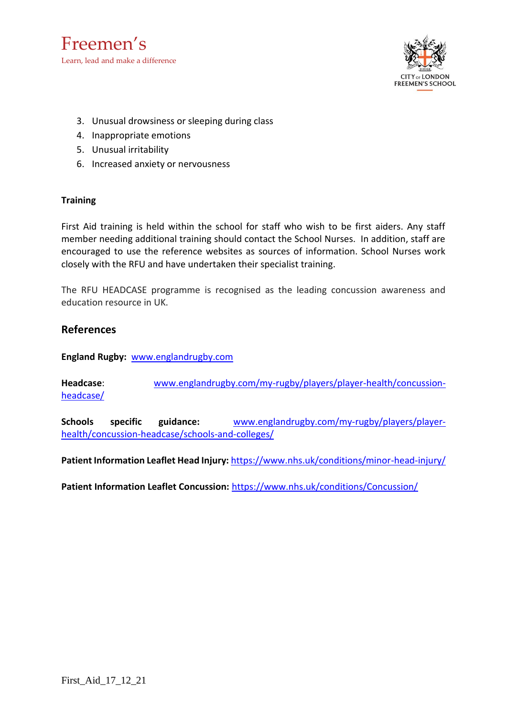

- 3. Unusual drowsiness or sleeping during class
- 4. Inappropriate emotions
- 5. Unusual irritability
- 6. Increased anxiety or nervousness

#### **Training**

First Aid training is held within the school for staff who wish to be first aiders. Any staff member needing additional training should contact the School Nurses. In addition, staff are encouraged to use the reference websites as sources of information. School Nurses work closely with the RFU and have undertaken their specialist training.

The RFU HEADCASE programme is recognised as the leading concussion awareness and education resource in UK.

#### **References**

**England Rugby:** [www.englandrugby.com](http://www.englandrugby.com/)

**Headcase**: [www.englandrugby.com/my-rugby/players/player-health/concussion](file://///sanserv01/staff-shared/Medical%20Centre/GRTP/www.englandrugby.com/my-rugby/players/player-health/concussion-headcase/)[headcase/](file://///sanserv01/staff-shared/Medical%20Centre/GRTP/www.englandrugby.com/my-rugby/players/player-health/concussion-headcase/)

**Schools specific guidance:** [www.englandrugby.com/my-rugby/players/player](http://www.englandrugby.com/my-rugby/players/player-health/concussion-headcase/schools-and-colleges/)[health/concussion-headcase/schools-and-colleges/](http://www.englandrugby.com/my-rugby/players/player-health/concussion-headcase/schools-and-colleges/)

**Patient Information Leaflet Head Injury:** <https://www.nhs.uk/conditions/minor-head-injury/>

**Patient Information Leaflet Concussion:** <https://www.nhs.uk/conditions/Concussion/>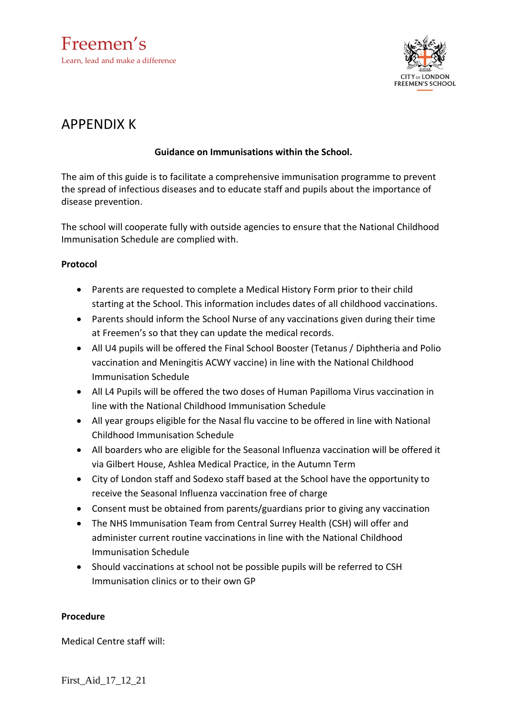Freemen's Learn, lead and make a difference



### APPENDIX K

#### **Guidance on Immunisations within the School.**

The aim of this guide is to facilitate a comprehensive immunisation programme to prevent the spread of infectious diseases and to educate staff and pupils about the importance of disease prevention.

The school will cooperate fully with outside agencies to ensure that the National Childhood Immunisation Schedule are complied with.

#### **Protocol**

- Parents are requested to complete a Medical History Form prior to their child starting at the School. This information includes dates of all childhood vaccinations.
- Parents should inform the School Nurse of any vaccinations given during their time at Freemen's so that they can update the medical records.
- All U4 pupils will be offered the Final School Booster (Tetanus / Diphtheria and Polio vaccination and Meningitis ACWY vaccine) in line with the National Childhood Immunisation Schedule
- All L4 Pupils will be offered the two doses of Human Papilloma Virus vaccination in line with the National Childhood Immunisation Schedule
- All year groups eligible for the Nasal flu vaccine to be offered in line with National Childhood Immunisation Schedule
- All boarders who are eligible for the Seasonal Influenza vaccination will be offered it via Gilbert House, Ashlea Medical Practice, in the Autumn Term
- City of London staff and Sodexo staff based at the School have the opportunity to receive the Seasonal Influenza vaccination free of charge
- Consent must be obtained from parents/guardians prior to giving any vaccination
- The NHS Immunisation Team from Central Surrey Health (CSH) will offer and administer current routine vaccinations in line with the National Childhood Immunisation Schedule
- Should vaccinations at school not be possible pupils will be referred to CSH Immunisation clinics or to their own GP

#### **Procedure**

Medical Centre staff will: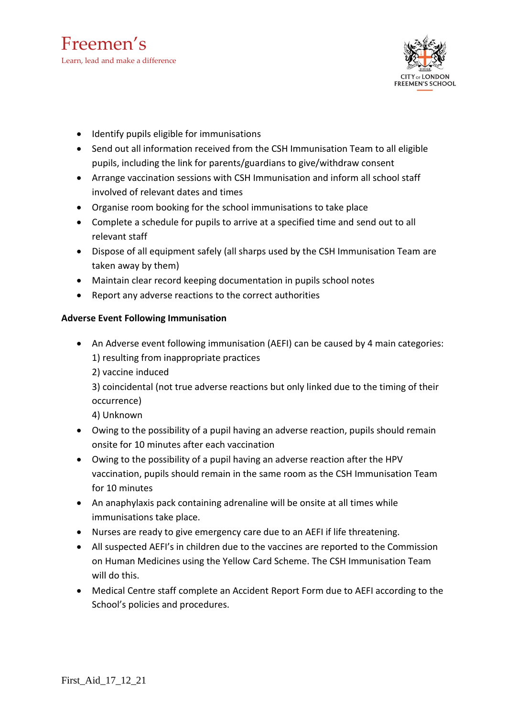

- Identify pupils eligible for immunisations
- Send out all information received from the CSH Immunisation Team to all eligible pupils, including the link for parents/guardians to give/withdraw consent
- Arrange vaccination sessions with CSH Immunisation and inform all school staff involved of relevant dates and times
- Organise room booking for the school immunisations to take place
- Complete a schedule for pupils to arrive at a specified time and send out to all relevant staff
- Dispose of all equipment safely (all sharps used by the CSH Immunisation Team are taken away by them)
- Maintain clear record keeping documentation in pupils school notes
- Report any adverse reactions to the correct authorities

#### **Adverse Event Following Immunisation**

• An Adverse event following immunisation (AEFI) can be caused by 4 main categories: 1) resulting from inappropriate practices

2) vaccine induced

3) coincidental (not true adverse reactions but only linked due to the timing of their occurrence)

4) Unknown

- Owing to the possibility of a pupil having an adverse reaction, pupils should remain onsite for 10 minutes after each vaccination
- Owing to the possibility of a pupil having an adverse reaction after the HPV vaccination, pupils should remain in the same room as the CSH Immunisation Team for 10 minutes
- An anaphylaxis pack containing adrenaline will be onsite at all times while immunisations take place.
- Nurses are ready to give emergency care due to an AEFI if life threatening.
- All suspected AEFI's in children due to the vaccines are reported to the Commission on Human Medicines using the Yellow Card Scheme. The CSH Immunisation Team will do this.
- Medical Centre staff complete an Accident Report Form due to AEFI according to the School's policies and procedures.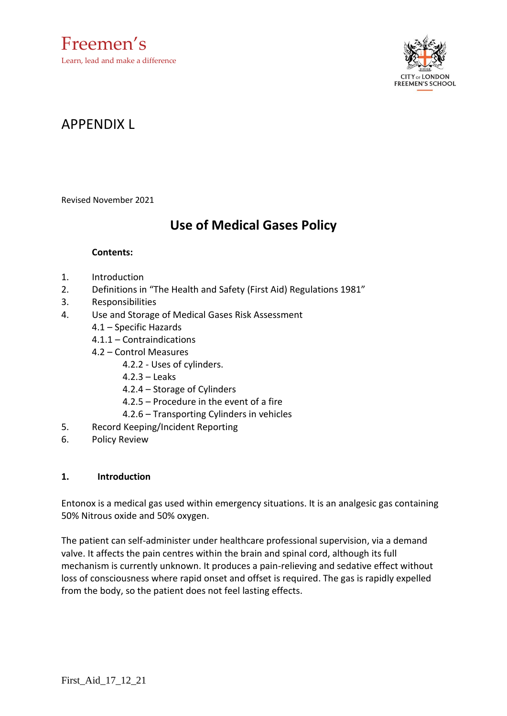



### APPENDIX L

Revised November 2021

### **Use of Medical Gases Policy**

#### **Contents:**

- 1. Introduction
- 2. Definitions in "The Health and Safety (First Aid) Regulations 1981"
- 3. Responsibilities
- 4. Use and Storage of Medical Gases Risk Assessment
	- 4.1 Specific Hazards
	- 4.1.1 Contraindications
	- 4.2 Control Measures
		- 4.2.2 Uses of cylinders.
		- 4.2.3 Leaks
		- 4.2.4 Storage of Cylinders
		- 4.2.5 Procedure in the event of a fire
		- 4.2.6 Transporting Cylinders in vehicles
- 5. Record Keeping/Incident Reporting
- 6. Policy Review

#### **1. Introduction**

Entonox is a medical gas used within emergency situations. It is an analgesic gas containing 50% Nitrous oxide and 50% oxygen.

The patient can self-administer under healthcare professional supervision, via a demand valve. It affects the pain centres within the brain and spinal cord, although its full mechanism is currently unknown. It produces a pain-relieving and sedative effect without loss of consciousness where rapid onset and offset is required. The gas is rapidly expelled from the body, so the patient does not feel lasting effects.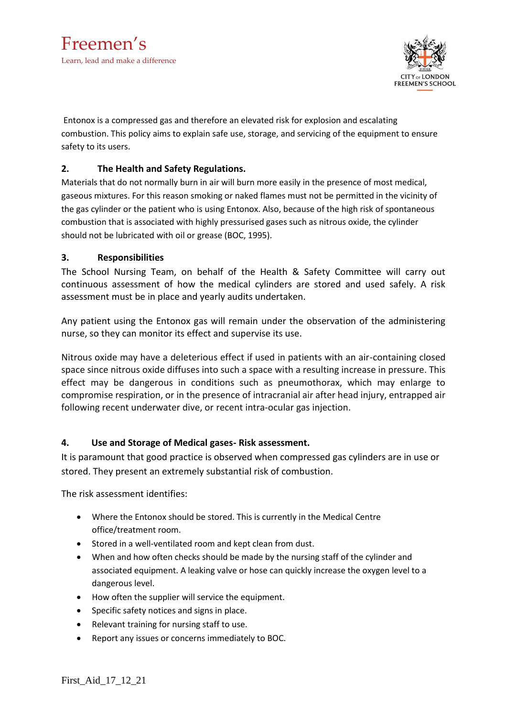

Entonox is a compressed gas and therefore an elevated risk for explosion and escalating combustion. This policy aims to explain safe use, storage, and servicing of the equipment to ensure safety to its users.

#### **2. The Health and Safety Regulations.**

Materials that do not normally burn in air will burn more easily in the presence of most medical, gaseous mixtures. For this reason smoking or naked flames must not be permitted in the vicinity of the gas cylinder or the patient who is using Entonox. Also, because of the high risk of spontaneous combustion that is associated with highly pressurised gases such as nitrous oxide, the cylinder should not be lubricated with oil or grease (BOC, 1995).

#### **3. Responsibilities**

The School Nursing Team, on behalf of the Health & Safety Committee will carry out continuous assessment of how the medical cylinders are stored and used safely. A risk assessment must be in place and yearly audits undertaken.

Any patient using the Entonox gas will remain under the observation of the administering nurse, so they can monitor its effect and supervise its use.

Nitrous oxide may have a deleterious effect if used in patients with an air-containing closed space since nitrous oxide diffuses into such a space with a resulting increase in pressure. This effect may be dangerous in conditions such as pneumothorax, which may enlarge to compromise respiration, or in the presence of intracranial air after head injury, entrapped air following recent underwater dive, or recent intra-ocular gas injection.

#### **4. Use and Storage of Medical gases- Risk assessment.**

It is paramount that good practice is observed when compressed gas cylinders are in use or stored. They present an extremely substantial risk of combustion.

The risk assessment identifies:

- Where the Entonox should be stored. This is currently in the Medical Centre office/treatment room.
- Stored in a well-ventilated room and kept clean from dust.
- When and how often checks should be made by the nursing staff of the cylinder and associated equipment. A leaking valve or hose can quickly increase the oxygen level to a dangerous level.
- How often the supplier will service the equipment.
- Specific safety notices and signs in place.
- Relevant training for nursing staff to use.
- Report any issues or concerns immediately to BOC.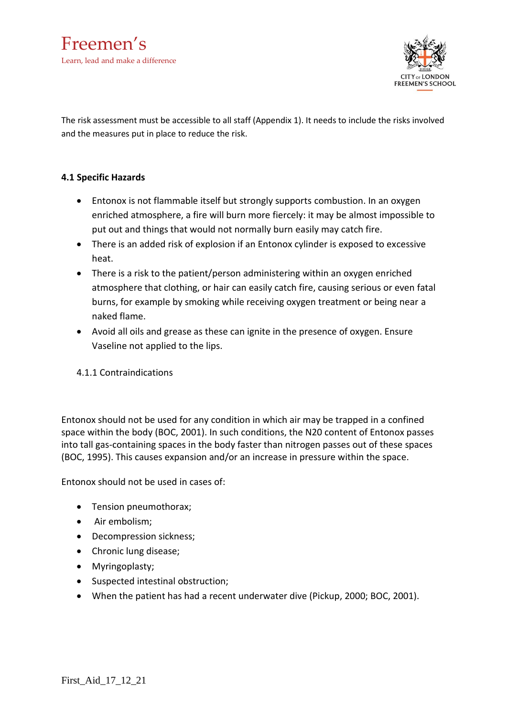

The risk assessment must be accessible to all staff (Appendix 1). It needs to include the risks involved and the measures put in place to reduce the risk.

#### **4.1 Specific Hazards**

- Entonox is not flammable itself but strongly supports combustion. In an oxygen enriched atmosphere, a fire will burn more fiercely: it may be almost impossible to put out and things that would not normally burn easily may catch fire.
- There is an added risk of explosion if an Entonox cylinder is exposed to excessive heat.
- There is a risk to the patient/person administering within an oxygen enriched atmosphere that clothing, or hair can easily catch fire, causing serious or even fatal burns, for example by smoking while receiving oxygen treatment or being near a naked flame.
- Avoid all oils and grease as these can ignite in the presence of oxygen. Ensure Vaseline not applied to the lips.

#### 4.1.1 Contraindications

Entonox should not be used for any condition in which air may be trapped in a confined space within the body (BOC, 2001). In such conditions, the N20 content of Entonox passes into tall gas-containing spaces in the body faster than nitrogen passes out of these spaces (BOC, 1995). This causes expansion and/or an increase in pressure within the space.

Entonox should not be used in cases of:

- Tension pneumothorax;
- Air embolism;
- Decompression sickness;
- Chronic lung disease;
- Myringoplasty;
- Suspected intestinal obstruction;
- When the patient has had a recent underwater dive (Pickup, 2000; BOC, 2001).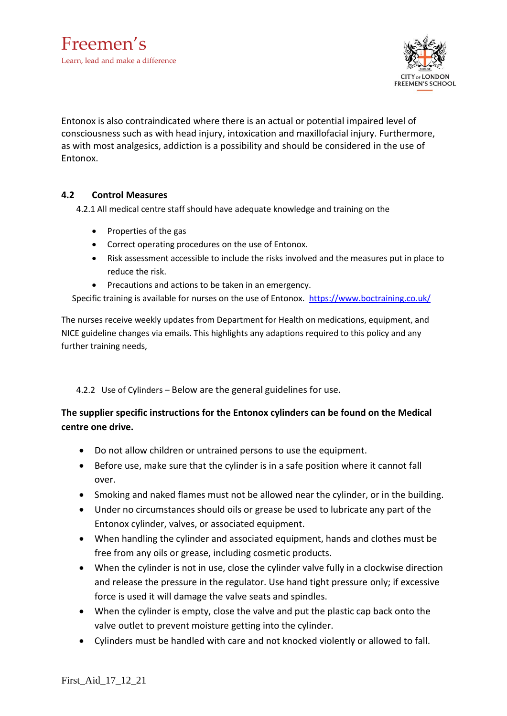

Entonox is also contraindicated where there is an actual or potential impaired level of consciousness such as with head injury, intoxication and maxillofacial injury. Furthermore, as with most analgesics, addiction is a possibility and should be considered in the use of Entonox.

#### **4.2 Control Measures**

4.2.1 All medical centre staff should have adequate knowledge and training on the

- Properties of the gas
- Correct operating procedures on the use of Entonox.
- Risk assessment accessible to include the risks involved and the measures put in place to reduce the risk.
- Precautions and actions to be taken in an emergency.

Specific training is available for nurses on the use of Entonox.<https://www.boctraining.co.uk/>

The nurses receive weekly updates from Department for Health on medications, equipment, and NICE guideline changes via emails. This highlights any adaptions required to this policy and any further training needs,

#### 4.2.2 Use of Cylinders – Below are the general guidelines for use.

#### **The supplier specific instructions for the Entonox cylinders can be found on the Medical centre one drive.**

- Do not allow children or untrained persons to use the equipment.
- Before use, make sure that the cylinder is in a safe position where it cannot fall over.
- Smoking and naked flames must not be allowed near the cylinder, or in the building.
- Under no circumstances should oils or grease be used to lubricate any part of the Entonox cylinder, valves, or associated equipment.
- When handling the cylinder and associated equipment, hands and clothes must be free from any oils or grease, including cosmetic products.
- When the cylinder is not in use, close the cylinder valve fully in a clockwise direction and release the pressure in the regulator. Use hand tight pressure only; if excessive force is used it will damage the valve seats and spindles.
- When the cylinder is empty, close the valve and put the plastic cap back onto the valve outlet to prevent moisture getting into the cylinder.
- Cylinders must be handled with care and not knocked violently or allowed to fall.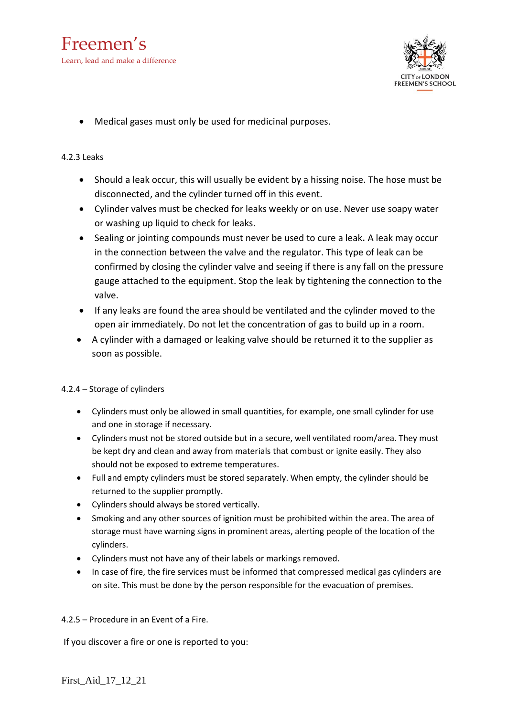

• Medical gases must only be used for medicinal purposes.

#### 4.2.3 Leaks

- Should a leak occur, this will usually be evident by a hissing noise. The hose must be disconnected, and the cylinder turned off in this event.
- Cylinder valves must be checked for leaks weekly or on use. Never use soapy water or washing up liquid to check for leaks.
- Sealing or jointing compounds must never be used to cure a leak*.* A leak may occur in the connection between the valve and the regulator. This type of leak can be confirmed by closing the cylinder valve and seeing if there is any fall on the pressure gauge attached to the equipment. Stop the leak by tightening the connection to the valve.
- If any leaks are found the area should be ventilated and the cylinder moved to the open air immediately. Do not let the concentration of gas to build up in a room.
- A cylinder with a damaged or leaking valve should be returned it to the supplier as soon as possible.

#### 4.2.4 – Storage of cylinders

- Cylinders must only be allowed in small quantities, for example, one small cylinder for use and one in storage if necessary.
- Cylinders must not be stored outside but in a secure, well ventilated room/area. They must be kept dry and clean and away from materials that combust or ignite easily. They also should not be exposed to extreme temperatures.
- Full and empty cylinders must be stored separately. When empty, the cylinder should be returned to the supplier promptly.
- Cylinders should always be stored vertically.
- Smoking and any other sources of ignition must be prohibited within the area. The area of storage must have warning signs in prominent areas, alerting people of the location of the cylinders.
- Cylinders must not have any of their labels or markings removed.
- In case of fire, the fire services must be informed that compressed medical gas cylinders are on site. This must be done by the person responsible for the evacuation of premises.

#### 4.2.5 – Procedure in an Event of a Fire.

If you discover a fire or one is reported to you: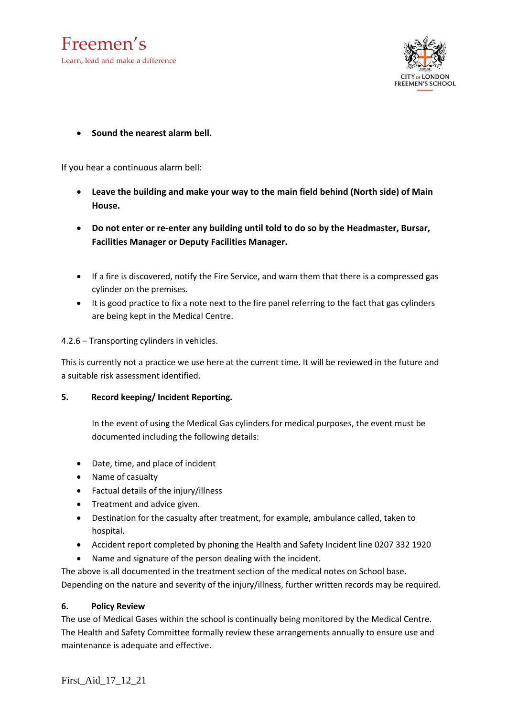Freemen's Learn, lead and make a difference



• **Sound the nearest alarm bell.** 

If you hear a continuous alarm bell:

- **Leave the building and make your way to the main field behind (North side) of Main House.**
- **Do not enter or re-enter any building until told to do so by the Headmaster, Bursar, Facilities Manager or Deputy Facilities Manager.**
- If a fire is discovered, notify the Fire Service, and warn them that there is a compressed gas cylinder on the premises.
- It is good practice to fix a note next to the fire panel referring to the fact that gas cylinders are being kept in the Medical Centre.

#### 4.2.6 – Transporting cylinders in vehicles.

This is currently not a practice we use here at the current time. It will be reviewed in the future and a suitable risk assessment identified.

#### **5. Record keeping/ Incident Reporting.**

In the event of using the Medical Gas cylinders for medical purposes, the event must be documented including the following details:

- Date, time, and place of incident
- Name of casualty
- Factual details of the injury/illness
- Treatment and advice given.
- Destination for the casualty after treatment, for example, ambulance called, taken to hospital.
- Accident report completed by phoning the Health and Safety Incident line 0207 332 1920
- Name and signature of the person dealing with the incident.

The above is all documented in the treatment section of the medical notes on School base. Depending on the nature and severity of the injury/illness, further written records may be required.

#### **6. Policy Review**

The use of Medical Gases within the school is continually being monitored by the Medical Centre. The Health and Safety Committee formally review these arrangements annually to ensure use and maintenance is adequate and effective.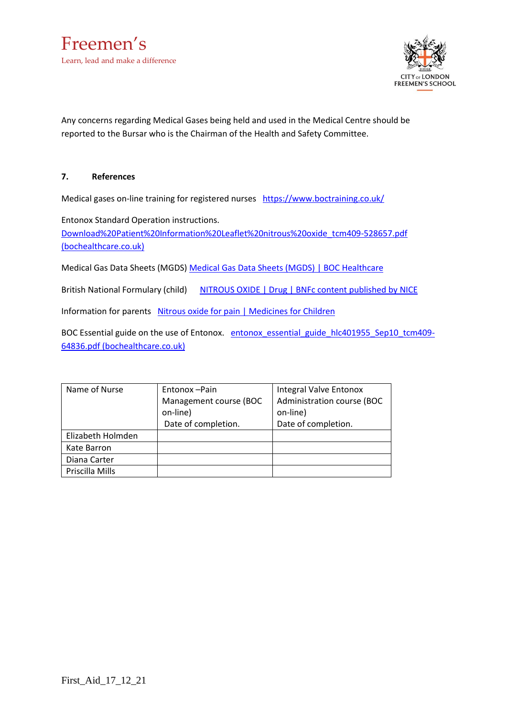

Any concerns regarding Medical Gases being held and used in the Medical Centre should be reported to the Bursar who is the Chairman of the Health and Safety Committee.

#### **7. References**

Medical gases on-line training for registered nurses <https://www.boctraining.co.uk/>

Entonox Standard Operation instructions.

[Download%20Patient%20Information%20Leaflet%20nitrous%20oxide\\_tcm409-528657.pdf](https://www.bochealthcare.co.uk/en/images/Download%2520Patient%2520Information%2520Leaflet%2520nitrous%2520oxide_tcm409-528657.pdf)  [\(bochealthcare.co.uk\)](https://www.bochealthcare.co.uk/en/images/Download%2520Patient%2520Information%2520Leaflet%2520nitrous%2520oxide_tcm409-528657.pdf)

Medical Gas Data Sheets (MGDS) [Medical Gas Data Sheets \(MGDS\) | BOC Healthcare](https://www.bochealthcare.co.uk/en/quality-and-safety/safety-and-technical-data/safety-data-sheets/safety-data-sheets.html)

British National Formulary (child) [NITROUS OXIDE | Drug | BNFc content published by NICE](https://bnfc.nice.org.uk/drug/nitrous-oxide.html#directionsForAdministration)

Information for parents [Nitrous oxide for pain | Medicines for Children](https://www.medicinesforchildren.org.uk/nitrous-oxide-pain)

BOC Essential guide on the use of Entonox. entonox essential guide hlc401955 Sep10 tcm409-[64836.pdf \(bochealthcare.co.uk\)](https://www.bochealthcare.co.uk/en/images/entonox_essential_guide_hlc401955_Sep10_tcm409-64836.pdf)

| Name of Nurse     | Entonox - Pain         | Integral Valve Entonox     |
|-------------------|------------------------|----------------------------|
|                   | Management course (BOC | Administration course (BOC |
|                   | on-line)               | on-line)                   |
|                   | Date of completion.    | Date of completion.        |
| Elizabeth Holmden |                        |                            |
| Kate Barron       |                        |                            |
| Diana Carter      |                        |                            |
| Priscilla Mills   |                        |                            |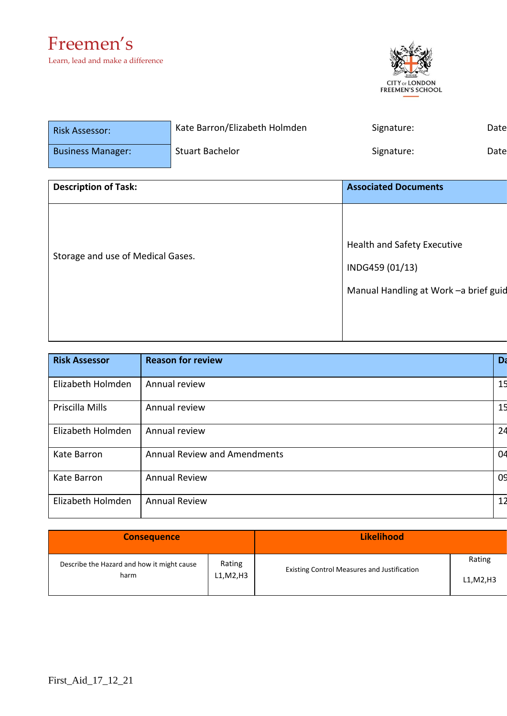



| <b>Risk Assessor:</b>    | Kate Barron/Elizabeth Holmden | Signature: | Datel |
|--------------------------|-------------------------------|------------|-------|
| <b>Business Manager:</b> | <b>Stuart Bachelor</b>        | Signature: | Datel |

| <b>Description of Task:</b>       | <b>Associated Documents</b>                    |
|-----------------------------------|------------------------------------------------|
|                                   |                                                |
| Storage and use of Medical Gases. | Health and Safety Executive<br>INDG459 (01/13) |
|                                   | Manual Handling at Work -a brief guid          |
|                                   |                                                |

| <b>Risk Assessor</b> | <b>Reason for review</b>            | Da |
|----------------------|-------------------------------------|----|
| Elizabeth Holmden    | Annual review                       | 15 |
| Priscilla Mills      | Annual review                       | 15 |
| Elizabeth Holmden    | Annual review                       | 24 |
| Kate Barron          | <b>Annual Review and Amendments</b> | 04 |
| Kate Barron          | <b>Annual Review</b>                | 09 |
| Elizabeth Holmden    | <b>Annual Review</b>                | 12 |

| <b>Consequence</b>                         |            | <b>Likelihood</b>                                  |            |
|--------------------------------------------|------------|----------------------------------------------------|------------|
| Describe the Hazard and how it might cause | Rating     | <b>Existing Control Measures and Justification</b> | Rating     |
| harm                                       | L1, M2, H3 |                                                    | L1, M2, H3 |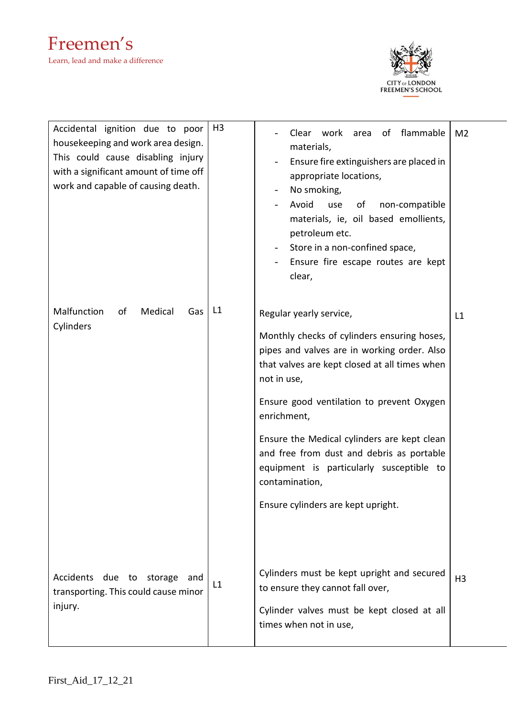



| Accidental ignition due to poor<br>housekeeping and work area design.<br>This could cause disabling injury<br>with a significant amount of time off<br>work and capable of causing death. | H <sub>3</sub> | Clear work area of flammable<br>materials,<br>Ensure fire extinguishers are placed in<br>appropriate locations,<br>No smoking,<br>$\qquad \qquad -$<br>Avoid<br>of<br>non-compatible<br>use<br>materials, ie, oil based emollients,<br>petroleum etc.<br>Store in a non-confined space,<br>$\overline{\phantom{a}}$<br>Ensure fire escape routes are kept<br>clear,                                                                               | M <sub>2</sub> |
|-------------------------------------------------------------------------------------------------------------------------------------------------------------------------------------------|----------------|---------------------------------------------------------------------------------------------------------------------------------------------------------------------------------------------------------------------------------------------------------------------------------------------------------------------------------------------------------------------------------------------------------------------------------------------------|----------------|
| Malfunction<br>Medical<br>of<br>Gas<br>Cylinders                                                                                                                                          | L1             | Regular yearly service,<br>Monthly checks of cylinders ensuring hoses,<br>pipes and valves are in working order. Also<br>that valves are kept closed at all times when<br>not in use,<br>Ensure good ventilation to prevent Oxygen<br>enrichment,<br>Ensure the Medical cylinders are kept clean<br>and free from dust and debris as portable<br>equipment is particularly susceptible to<br>contamination,<br>Ensure cylinders are kept upright. | L1             |
| Accidents due to<br>storage<br>and<br>transporting. This could cause minor<br>injury.                                                                                                     | L1             | Cylinders must be kept upright and secured<br>to ensure they cannot fall over,<br>Cylinder valves must be kept closed at all<br>times when not in use,                                                                                                                                                                                                                                                                                            | H <sub>3</sub> |